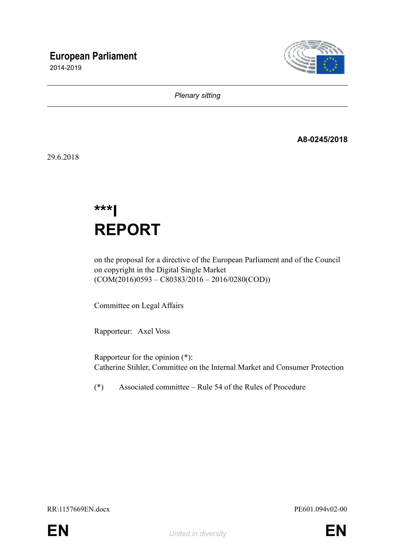# **European Parliament**

2014-2019



# *Plenary sitting*

**A8-0245/2018** 

29.6.2018

# **\*\*\*I REPORT**

on the proposal for a directive of the European Parliament and of the Council on copyright in the Digital Single Market  $(COM(2016)0593 - C80383/2016 - 2016/0280(COD))$ 

Committee on Legal Affairs

Rapporteur: Axel Voss

Rapporteur for the opinion (\*): Catherine Stihler, Committee on the Internal Market and Consumer Protection

(\*) Associated committee – Rule 54 of the Rules of Procedure

RR\1157669EN.docx PE601.094v02-00

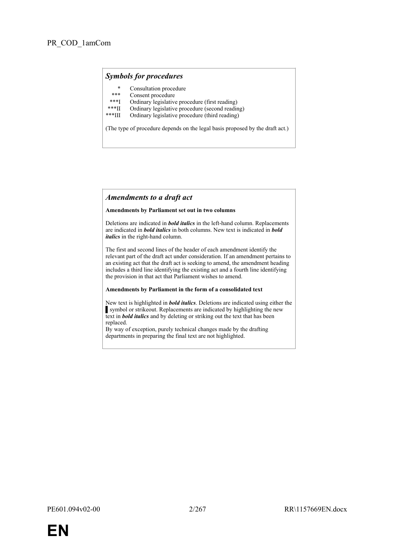### *Symbols for procedures*

- \* Consultation procedure<br>\*\*\* Consent procedure
- \*\*\* Consent procedure<br>\*\*\*I Ordinary legislative
- \*\*\*I Ordinary legislative procedure (first reading)<br>\*\*\*II Ordinary legislative procedure (second reading)
- \*\*\*II Ordinary legislative procedure (second reading)
- Ordinary legislative procedure (third reading)

(The type of procedure depends on the legal basis proposed by the draft act.)

### *Amendments to a draft act*

### **Amendments by Parliament set out in two columns**

Deletions are indicated in *bold italics* in the left-hand column. Replacements are indicated in *bold italics* in both columns. New text is indicated in *bold italics* in the right-hand column.

The first and second lines of the header of each amendment identify the relevant part of the draft act under consideration. If an amendment pertains to an existing act that the draft act is seeking to amend, the amendment heading includes a third line identifying the existing act and a fourth line identifying the provision in that act that Parliament wishes to amend.

### **Amendments by Parliament in the form of a consolidated text**

New text is highlighted in *bold italics*. Deletions are indicated using either the symbol or strikeout. Replacements are indicated by highlighting the new text in *bold italics* and by deleting or striking out the text that has been replaced.

By way of exception, purely technical changes made by the drafting departments in preparing the final text are not highlighted.

**EN**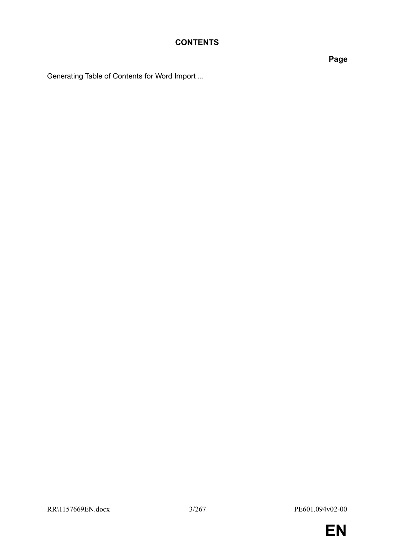# **CONTENTS**

**Page** 

Generating Table of Contents for Word Import ...

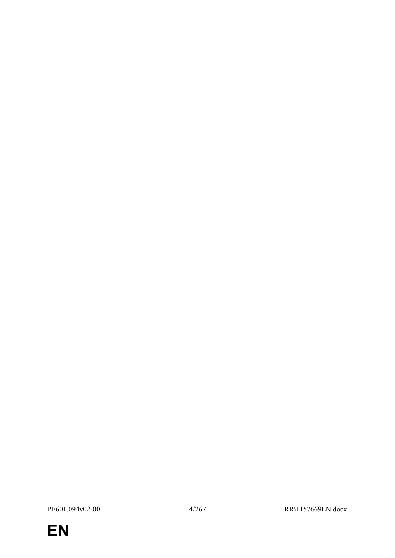# **EN**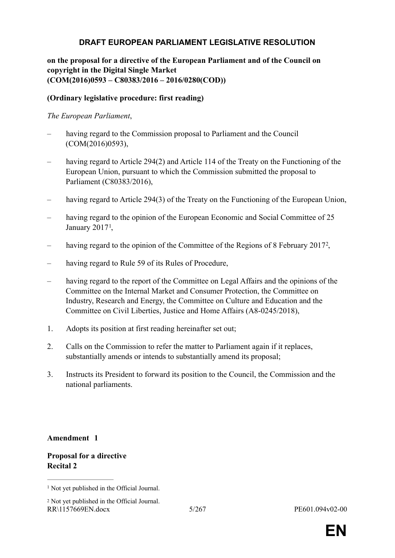# **DRAFT EUROPEAN PARLIAMENT LEGISLATIVE RESOLUTION**

# **on the proposal for a directive of the European Parliament and of the Council on copyright in the Digital Single Market (COM(2016)0593 – C80383/2016 – 2016/0280(COD))**

# **(Ordinary legislative procedure: first reading)**

# *The European Parliament*,

- having regard to the Commission proposal to Parliament and the Council (COM(2016)0593),
- having regard to Article 294(2) and Article 114 of the Treaty on the Functioning of the European Union, pursuant to which the Commission submitted the proposal to Parliament (C80383/2016),
- having regard to Article 294(3) of the Treaty on the Functioning of the European Union,
- having regard to the opinion of the European Economic and Social Committee of 25 January 2017<sup>1</sup>,
- having regard to the opinion of the Committee of the Regions of  $8$  February 2017<sup>2</sup>.
- having regard to Rule 59 of its Rules of Procedure,
- having regard to the report of the Committee on Legal Affairs and the opinions of the Committee on the Internal Market and Consumer Protection, the Committee on Industry, Research and Energy, the Committee on Culture and Education and the Committee on Civil Liberties, Justice and Home Affairs (A8-0245/2018),
- 1. Adopts its position at first reading hereinafter set out;
- 2. Calls on the Commission to refer the matter to Parliament again if it replaces, substantially amends or intends to substantially amend its proposal;
- 3. Instructs its President to forward its position to the Council, the Commission and the national parliaments.

# **Amendment 1**

# **Proposal for a directive Recital 2**



<sup>&</sup>lt;sup>1</sup> Not yet published in the Official Journal.

<sup>&</sup>lt;sup>2</sup> Not yet published in the Official Journal. RR\1157669EN.docx 5/267 PE601.094v02-00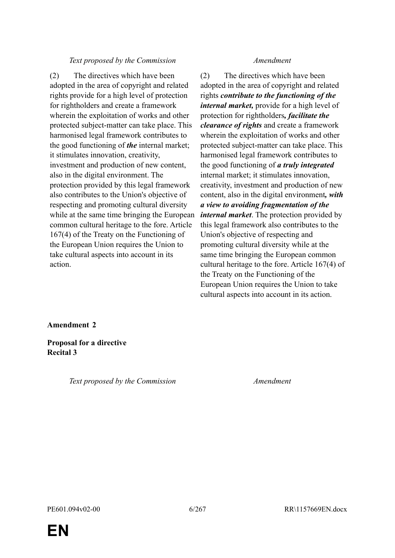### *Text proposed by the Commission Amendment*

(2) The directives which have been adopted in the area of copyright and related rights provide for a high level of protection for rightholders and create a framework wherein the exploitation of works and other protected subject-matter can take place. This harmonised legal framework contributes to the good functioning of *the* internal market; it stimulates innovation, creativity, investment and production of new content, also in the digital environment. The protection provided by this legal framework also contributes to the Union's objective of respecting and promoting cultural diversity while at the same time bringing the European common cultural heritage to the fore. Article 167(4) of the Treaty on the Functioning of the European Union requires the Union to take cultural aspects into account in its action.

(2) The directives which have been adopted in the area of copyright and related rights *contribute to the functioning of the internal market,* provide for a high level of protection for rightholders*, facilitate the clearance of rights* and create a framework wherein the exploitation of works and other protected subject-matter can take place. This harmonised legal framework contributes to the good functioning of *a truly integrated* internal market; it stimulates innovation, creativity, investment and production of new content, also in the digital environment*, with a view to avoiding fragmentation of the internal market*. The protection provided by this legal framework also contributes to the Union's objective of respecting and promoting cultural diversity while at the same time bringing the European common cultural heritage to the fore. Article 167(4) of the Treaty on the Functioning of the European Union requires the Union to take cultural aspects into account in its action.

**Amendment 2** 

**Proposal for a directive Recital 3**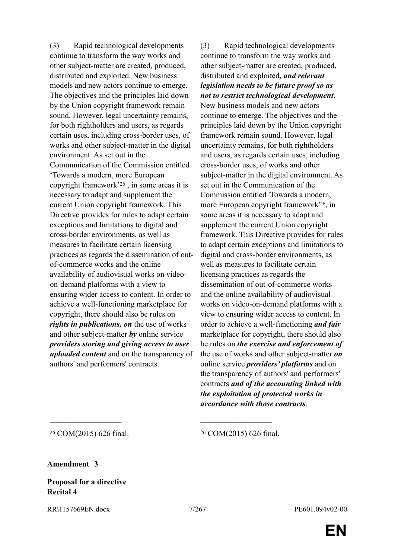(3) Rapid technological developments continue to transform the way works and other subject-matter are created, produced, distributed and exploited. New business models and new actors continue to emerge. The objectives and the principles laid down by the Union copyright framework remain sound. However, legal uncertainty remains, for both rightholders and users, as regards certain uses, including cross-border uses, of works and other subject-matter in the digital environment. As set out in the Communication of the Commission entitled 'Towards a modern, more European copyright framework'26 , in some areas it is necessary to adapt and supplement the current Union copyright framework. This Directive provides for rules to adapt certain exceptions and limitations to digital and cross-border environments, as well as measures to facilitate certain licensing practices as regards the dissemination of outof-commerce works and the online availability of audiovisual works on videoon-demand platforms with a view to ensuring wider access to content. In order to achieve a well-functioning marketplace for copyright, there should also be rules on *rights in publications, on* the use of works and other subject-matter *by* online service *providers storing and giving access to user uploaded content* and on the transparency of authors' and performers' contracts.

(3) Rapid technological developments continue to transform the way works and other subject-matter are created, produced, distributed and exploited*, and relevant legislation needs to be future proof so as not to restrict technological development*.

New business models and new actors continue to emerge. The objectives and the principles laid down by the Union copyright framework remain sound. However, legal uncertainty remains, for both rightholders and users, as regards certain uses, including cross-border uses, of works and other subject-matter in the digital environment. As set out in the Communication of the Commission entitled 'Towards a modern, more European copyright framework'26, in some areas it is necessary to adapt and supplement the current Union copyright framework. This Directive provides for rules to adapt certain exceptions and limitations to digital and cross-border environments, as well as measures to facilitate certain licensing practices as regards the dissemination of out-of-commerce works and the online availability of audiovisual works on video-on-demand platforms with a view to ensuring wider access to content. In order to achieve a well-functioning *and fair* marketplace for copyright, there should also be rules on *the exercise and enforcement of*  the use of works and other subject-matter *on* online service *providers' platforms* and on the transparency of authors' and performers' contracts *and of the accounting linked with the exploitation of protected works in accordance with those contracts*.

26 COM(2015) 626 final. 26 COM(2015) 626 final.

**Amendment 3** 

### **Proposal for a directive Recital 4**

RR\1157669EN.docx 7/267 PE601.094v02-00

 $\mathcal{L}_\text{max}$  , and the contract of the contract of the contract of the contract of the contract of the contract of

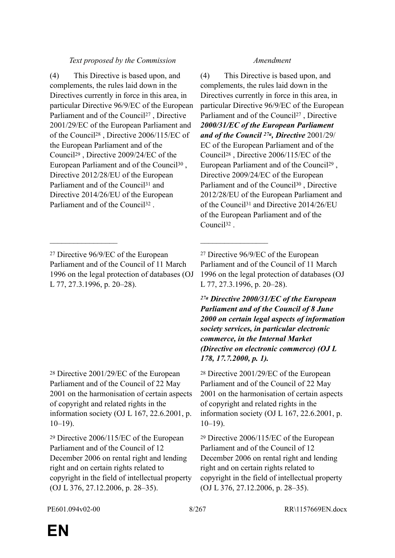# *Text proposed by the Commission Amendment*

(4) This Directive is based upon, and complements, the rules laid down in the Directives currently in force in this area, in particular Directive 96/9/EC of the European Parliament and of the Council<sup>27</sup>, Directive 2001/29/EC of the European Parliament and of the Council28 , Directive 2006/115/EC of the European Parliament and of the Council29 , Directive 2009/24/EC of the European Parliament and of the Council30 , Directive 2012/28/EU of the European Parliament and of the Council<sup>31</sup> and Directive 2014/26/EU of the European Parliament and of the Council<sup>32</sup>.

 $\mathcal{L}_\text{max}$  , and the contract of the contract of the contract of the contract of the contract of the contract of

28 Directive 2001/29/EC of the European Parliament and of the Council of 22 May 2001 on the harmonisation of certain aspects of copyright and related rights in the information society (OJ L 167, 22.6.2001, p.  $10-19$ ).

29 Directive 2006/115/EC of the European Parliament and of the Council of 12 December 2006 on rental right and lending right and on certain rights related to copyright in the field of intellectual property (OJ L 376, 27.12.2006, p. 28–35).

(4) This Directive is based upon, and complements, the rules laid down in the Directives currently in force in this area, in particular Directive 96/9/EC of the European Parliament and of the Council<sup>27</sup>, Directive *2000/31/EC of the European Parliament and of the Council 27a, Directive* 2001/29/ EC of the European Parliament and of the Council28 , Directive 2006/115/EC of the European Parliament and of the Council29 , Directive 2009/24/EC of the European Parliament and of the Council<sup>30</sup>, Directive 2012/28/EU of the European Parliament and of the Council31 and Directive 2014/26/EU of the European Parliament and of the Council<sup>32</sup>.

27 Directive 96/9/EC of the European Parliament and of the Council of 11 March 1996 on the legal protection of databases (OJ L 77, 27.3.1996, p. 20–28).

*27a Directive 2000/31/EC of the European Parliament and of the Council of 8 June 2000 on certain legal aspects of information society services, in particular electronic commerce, in the Internal Market (Directive on electronic commerce) (OJ L 178, 17.7.2000, p. 1).*

28 Directive 2001/29/EC of the European Parliament and of the Council of 22 May 2001 on the harmonisation of certain aspects of copyright and related rights in the information society (OJ L 167, 22.6.2001, p.  $10-19$ ).

29 Directive 2006/115/EC of the European Parliament and of the Council of 12 December 2006 on rental right and lending right and on certain rights related to copyright in the field of intellectual property (OJ L 376, 27.12.2006, p. 28–35).

<sup>27</sup> Directive 96/9/EC of the European Parliament and of the Council of 11 March 1996 on the legal protection of databases (OJ L 77, 27.3.1996, p. 20–28).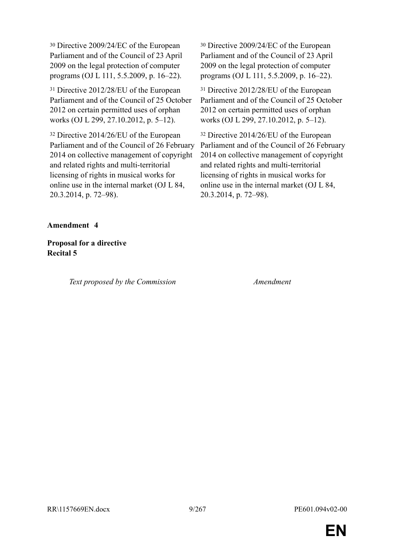30 Directive 2009/24/EC of the European Parliament and of the Council of 23 April 2009 on the legal protection of computer programs (OJ L 111, 5.5.2009, p. 16–22).

31 Directive 2012/28/EU of the European Parliament and of the Council of 25 October 2012 on certain permitted uses of orphan works (OJ L 299, 27.10.2012, p. 5–12).

32 Directive 2014/26/EU of the European Parliament and of the Council of 26 February 2014 on collective management of copyright and related rights and multi-territorial licensing of rights in musical works for online use in the internal market (OJ L 84, 20.3.2014, p. 72–98).

30 Directive 2009/24/EC of the European Parliament and of the Council of 23 April 2009 on the legal protection of computer programs (OJ L 111, 5.5.2009, p. 16–22).

31 Directive 2012/28/EU of the European Parliament and of the Council of 25 October 2012 on certain permitted uses of orphan works (OJ L 299, 27.10.2012, p. 5–12).

32 Directive 2014/26/EU of the European Parliament and of the Council of 26 February 2014 on collective management of copyright and related rights and multi-territorial licensing of rights in musical works for online use in the internal market (OJ L 84, 20.3.2014, p. 72–98).

**Amendment 4** 

**Proposal for a directive Recital 5** 

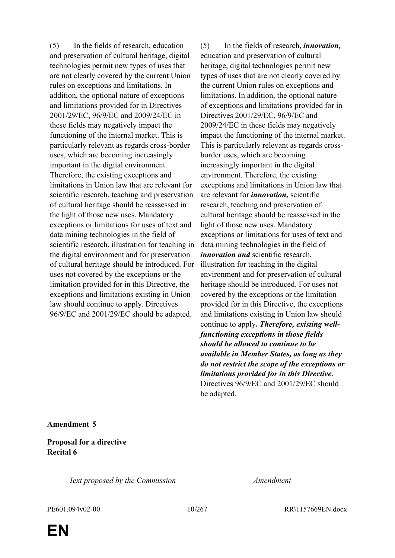(5) In the fields of research, education and preservation of cultural heritage, digital technologies permit new types of uses that are not clearly covered by the current Union rules on exceptions and limitations. In addition, the optional nature of exceptions and limitations provided for in Directives 2001/29/EC, 96/9/EC and 2009/24/EC in these fields may negatively impact the functioning of the internal market. This is particularly relevant as regards cross-border uses, which are becoming increasingly important in the digital environment. Therefore, the existing exceptions and limitations in Union law that are relevant for scientific research, teaching and preservation of cultural heritage should be reassessed in the light of those new uses. Mandatory exceptions or limitations for uses of text and data mining technologies in the field of scientific research, illustration for teaching in the digital environment and for preservation of cultural heritage should be introduced. For uses not covered by the exceptions or the limitation provided for in this Directive, the exceptions and limitations existing in Union law should continue to apply. Directives 96/9/EC and 2001/29/EC should be adapted.

(5) In the fields of research, *innovation,* education and preservation of cultural heritage, digital technologies permit new types of uses that are not clearly covered by the current Union rules on exceptions and limitations. In addition, the optional nature of exceptions and limitations provided for in Directives 2001/29/EC, 96/9/EC and 2009/24/EC in these fields may negatively impact the functioning of the internal market. This is particularly relevant as regards crossborder uses, which are becoming increasingly important in the digital environment. Therefore, the existing exceptions and limitations in Union law that are relevant for *innovation,* scientific research, teaching and preservation of cultural heritage should be reassessed in the light of those new uses. Mandatory exceptions or limitations for uses of text and data mining technologies in the field of *innovation and* scientific research, illustration for teaching in the digital environment and for preservation of cultural heritage should be introduced. For uses not covered by the exceptions or the limitation provided for in this Directive, the exceptions and limitations existing in Union law should continue to apply*. Therefore, existing wellfunctioning exceptions in those fields should be allowed to continue to be available in Member States, as long as they do not restrict the scope of the exceptions or limitations provided for in this Directive*. Directives 96/9/EC and 2001/29/EC should be adapted.

**Amendment 5** 

**Proposal for a directive Recital 6** 

*Text proposed by the Commission Amendment*

**EN**

PE601.094v02-00 10/267 RR\1157669EN.docx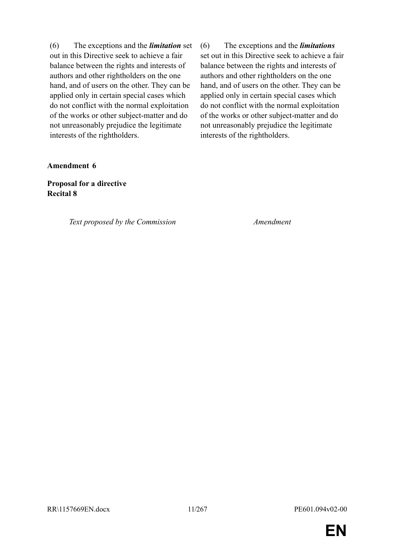(6) The exceptions and the *limitation* set out in this Directive seek to achieve a fair balance between the rights and interests of authors and other rightholders on the one hand, and of users on the other. They can be applied only in certain special cases which do not conflict with the normal exploitation of the works or other subject-matter and do not unreasonably prejudice the legitimate interests of the rightholders.

(6) The exceptions and the *limitations* set out in this Directive seek to achieve a fair balance between the rights and interests of authors and other rightholders on the one hand, and of users on the other. They can be applied only in certain special cases which do not conflict with the normal exploitation of the works or other subject-matter and do not unreasonably prejudice the legitimate interests of the rightholders.

## **Amendment 6**

**Proposal for a directive Recital 8** 

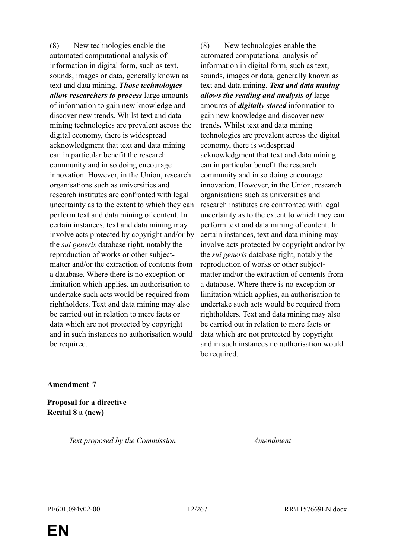(8) New technologies enable the automated computational analysis of information in digital form, such as text, sounds, images or data, generally known as text and data mining. *Those technologies allow researchers to process* large amounts of information to gain new knowledge and discover new trends*.* Whilst text and data mining technologies are prevalent across the digital economy, there is widespread acknowledgment that text and data mining can in particular benefit the research community and in so doing encourage innovation. However, in the Union, research organisations such as universities and research institutes are confronted with legal uncertainty as to the extent to which they can perform text and data mining of content. In certain instances, text and data mining may involve acts protected by copyright and/or by the *sui generis* database right, notably the reproduction of works or other subjectmatter and/or the extraction of contents from a database. Where there is no exception or limitation which applies, an authorisation to undertake such acts would be required from rightholders. Text and data mining may also be carried out in relation to mere facts or data which are not protected by copyright and in such instances no authorisation would be required.

(8) New technologies enable the automated computational analysis of information in digital form, such as text, sounds, images or data, generally known as text and data mining. *Text and data mining allows the reading and analysis of* large amounts of *digitally stored* information to gain new knowledge and discover new trends*.* Whilst text and data mining technologies are prevalent across the digital economy, there is widespread acknowledgment that text and data mining can in particular benefit the research community and in so doing encourage innovation. However, in the Union, research organisations such as universities and research institutes are confronted with legal uncertainty as to the extent to which they can perform text and data mining of content. In certain instances, text and data mining may involve acts protected by copyright and/or by the *sui generis* database right, notably the reproduction of works or other subjectmatter and/or the extraction of contents from a database. Where there is no exception or limitation which applies, an authorisation to undertake such acts would be required from rightholders. Text and data mining may also be carried out in relation to mere facts or data which are not protected by copyright and in such instances no authorisation would be required.

**Amendment 7** 

**Proposal for a directive Recital 8 a (new)** 

*Text proposed by the Commission Amendment*

**EN**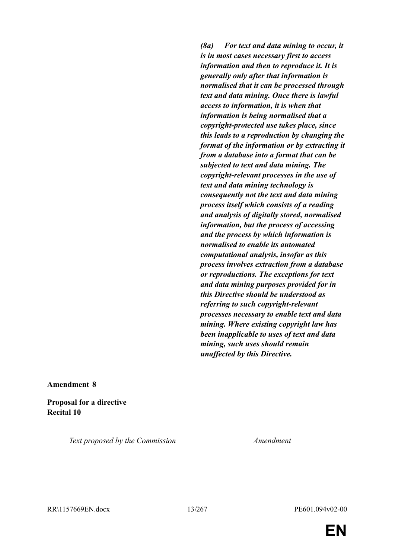*(8a) For text and data mining to occur, it is in most cases necessary first to access information and then to reproduce it. It is generally only after that information is normalised that it can be processed through text and data mining. Once there is lawful access to information, it is when that information is being normalised that a copyright-protected use takes place, since this leads to a reproduction by changing the format of the information or by extracting it from a database into a format that can be subjected to text and data mining. The copyright-relevant processes in the use of text and data mining technology is consequently not the text and data mining process itself which consists of a reading and analysis of digitally stored, normalised information, but the process of accessing and the process by which information is normalised to enable its automated computational analysis, insofar as this process involves extraction from a database or reproductions. The exceptions for text and data mining purposes provided for in this Directive should be understood as referring to such copyright-relevant processes necessary to enable text and data mining. Where existing copyright law has been inapplicable to uses of text and data mining, such uses should remain unaffected by this Directive.*

**Amendment 8** 

**Proposal for a directive Recital 10** 

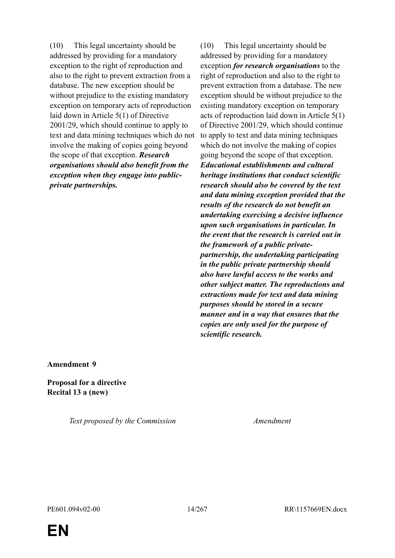(10) This legal uncertainty should be addressed by providing for a mandatory exception to the right of reproduction and also to the right to prevent extraction from a database. The new exception should be without prejudice to the existing mandatory exception on temporary acts of reproduction laid down in Article 5(1) of Directive 2001/29, which should continue to apply to text and data mining techniques which do not involve the making of copies going beyond the scope of that exception. *Research organisations should also benefit from the exception when they engage into publicprivate partnerships.*

(10) This legal uncertainty should be addressed by providing for a mandatory exception *for research organisations* to the right of reproduction and also to the right to prevent extraction from a database. The new exception should be without prejudice to the existing mandatory exception on temporary acts of reproduction laid down in Article 5(1) of Directive 2001/29, which should continue to apply to text and data mining techniques which do not involve the making of copies going beyond the scope of that exception. *Educational establishments and cultural heritage institutions that conduct scientific research should also be covered by the text and data mining exception provided that the results of the research do not benefit an undertaking exercising a decisive influence upon such organisations in particular. In the event that the research is carried out in the framework of a public privatepartnership, the undertaking participating in the public private partnership should also have lawful access to the works and other subject matter. The reproductions and extractions made for text and data mining purposes should be stored in a secure manner and in a way that ensures that the copies are only used for the purpose of scientific research.*

**Amendment 9** 

**Proposal for a directive Recital 13 a (new)** 

*Text proposed by the Commission Amendment*

**EN**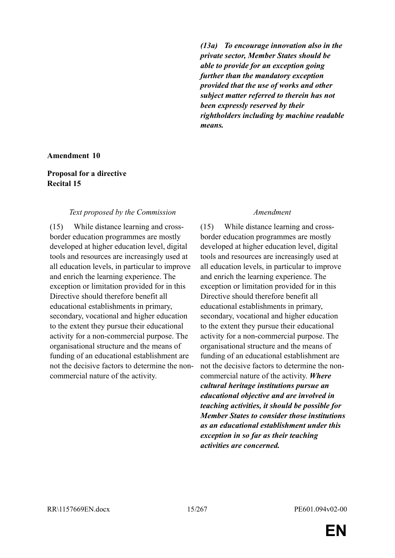*(13a) To encourage innovation also in the private sector, Member States should be able to provide for an exception going further than the mandatory exception provided that the use of works and other subject matter referred to therein has not been expressly reserved by their rightholders including by machine readable means.*

### **Amendment 10**

### **Proposal for a directive Recital 15**

### *Text proposed by the Commission Amendment*

(15) While distance learning and crossborder education programmes are mostly developed at higher education level, digital tools and resources are increasingly used at all education levels, in particular to improve and enrich the learning experience. The exception or limitation provided for in this Directive should therefore benefit all educational establishments in primary, secondary, vocational and higher education to the extent they pursue their educational activity for a non-commercial purpose. The organisational structure and the means of funding of an educational establishment are not the decisive factors to determine the noncommercial nature of the activity.

(15) While distance learning and crossborder education programmes are mostly developed at higher education level, digital tools and resources are increasingly used at all education levels, in particular to improve and enrich the learning experience. The exception or limitation provided for in this Directive should therefore benefit all educational establishments in primary, secondary, vocational and higher education to the extent they pursue their educational activity for a non-commercial purpose. The organisational structure and the means of funding of an educational establishment are not the decisive factors to determine the noncommercial nature of the activity. *Where cultural heritage institutions pursue an educational objective and are involved in teaching activities, it should be possible for Member States to consider those institutions as an educational establishment under this exception in so far as their teaching activities are concerned.* 

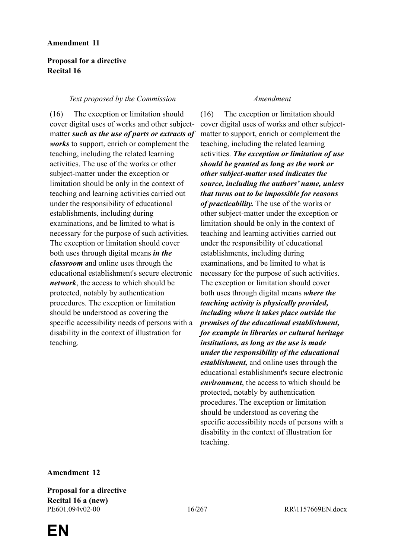## **Amendment 11**

# **Proposal for a directive Recital 16**

### *Text proposed by the Commission Amendment*

(16) The exception or limitation should cover digital uses of works and other subjectmatter *such as the use of parts or extracts of works* to support, enrich or complement the teaching, including the related learning activities. The use of the works or other subject-matter under the exception or limitation should be only in the context of teaching and learning activities carried out under the responsibility of educational establishments, including during examinations, and be limited to what is necessary for the purpose of such activities. The exception or limitation should cover both uses through digital means *in the classroom* and online uses through the educational establishment's secure electronic *network*, the access to which should be protected, notably by authentication procedures. The exception or limitation should be understood as covering the specific accessibility needs of persons with a disability in the context of illustration for teaching.

(16) The exception or limitation should cover digital uses of works and other subjectmatter to support, enrich or complement the teaching, including the related learning activities. *The exception or limitation of use should be granted as long as the work or other subject-matter used indicates the source, including the authors' name, unless that turns out to be impossible for reasons of practicability.* The use of the works or other subject-matter under the exception or limitation should be only in the context of teaching and learning activities carried out under the responsibility of educational establishments, including during examinations, and be limited to what is necessary for the purpose of such activities. The exception or limitation should cover both uses through digital means *where the teaching activity is physically provided, including where it takes place outside the premises of the educational establishment, for example in libraries or cultural heritage institutions, as long as the use is made under the responsibility of the educational establishment,* and online uses through the educational establishment's secure electronic *environment*, the access to which should be protected, notably by authentication procedures. The exception or limitation should be understood as covering the specific accessibility needs of persons with a disability in the context of illustration for teaching.

### **Amendment 12**

**Proposal for a directive Recital 16 a (new)**  PE601.094v02-00 16/267 RR\1157669EN.docx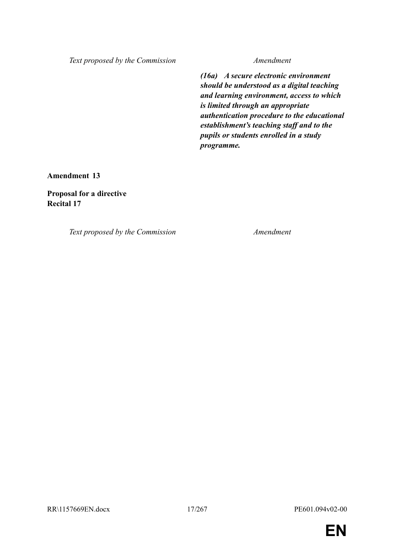*Text proposed by the Commission Amendment*

*(16a) A secure electronic environment should be understood as a digital teaching and learning environment, access to which is limited through an appropriate authentication procedure to the educational establishment's teaching staff and to the pupils or students enrolled in a study programme.*

**Amendment 13** 

**Proposal for a directive Recital 17** 

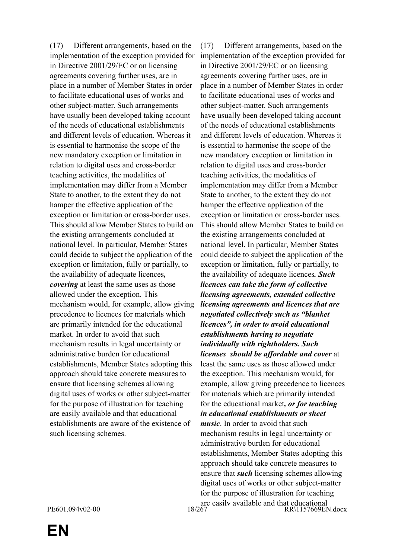(17) Different arrangements, based on the implementation of the exception provided for in Directive 2001/29/EC or on licensing agreements covering further uses, are in place in a number of Member States in order to facilitate educational uses of works and other subject-matter. Such arrangements have usually been developed taking account of the needs of educational establishments and different levels of education. Whereas it is essential to harmonise the scope of the new mandatory exception or limitation in relation to digital uses and cross-border teaching activities, the modalities of implementation may differ from a Member State to another, to the extent they do not hamper the effective application of the exception or limitation or cross-border uses. This should allow Member States to build on the existing arrangements concluded at national level. In particular, Member States could decide to subject the application of the exception or limitation, fully or partially, to the availability of adequate licences*, covering* at least the same uses as those allowed under the exception. This mechanism would, for example, allow giving precedence to licences for materials which are primarily intended for the educational market. In order to avoid that such mechanism results in legal uncertainty or administrative burden for educational establishments, Member States adopting this approach should take concrete measures to ensure that licensing schemes allowing digital uses of works or other subject-matter for the purpose of illustration for teaching are easily available and that educational establishments are aware of the existence of such licensing schemes.

(17) Different arrangements, based on the implementation of the exception provided for in Directive 2001/29/EC or on licensing agreements covering further uses, are in place in a number of Member States in order to facilitate educational uses of works and other subject-matter. Such arrangements have usually been developed taking account of the needs of educational establishments and different levels of education. Whereas it is essential to harmonise the scope of the new mandatory exception or limitation in relation to digital uses and cross-border teaching activities, the modalities of implementation may differ from a Member State to another, to the extent they do not hamper the effective application of the exception or limitation or cross-border uses. This should allow Member States to build on the existing arrangements concluded at national level. In particular, Member States could decide to subject the application of the exception or limitation, fully or partially, to the availability of adequate licences*. Such licences can take the form of collective licensing agreements, extended collective licensing agreements and licences that are negotiated collectively such as "blanket licences", in order to avoid educational establishments having to negotiate individually with rightholders. Such licenses should be affordable and cover* at least the same uses as those allowed under the exception. This mechanism would, for example, allow giving precedence to licences for materials which are primarily intended for the educational market*, or for teaching in educational establishments or sheet music*. In order to avoid that such mechanism results in legal uncertainty or administrative burden for educational establishments, Member States adopting this approach should take concrete measures to ensure that *such* licensing schemes allowing digital uses of works or other subject-matter for the purpose of illustration for teaching are easily available and that educational<br>RR\1157669EN.docx<br>RR\1157669EN.docx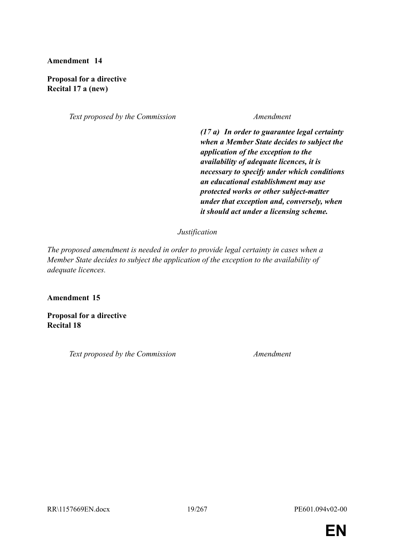**Amendment 14** 

**Proposal for a directive Recital 17 a (new)** 

*Text proposed by the Commission Amendment*

*(17 a) In order to guarantee legal certainty when a Member State decides to subject the application of the exception to the availability of adequate licences, it is necessary to specify under which conditions an educational establishment may use protected works or other subject-matter under that exception and, conversely, when it should act under a licensing scheme.*

*Justification* 

*The proposed amendment is needed in order to provide legal certainty in cases when a Member State decides to subject the application of the exception to the availability of adequate licences.* 

**Amendment 15** 

**Proposal for a directive Recital 18** 

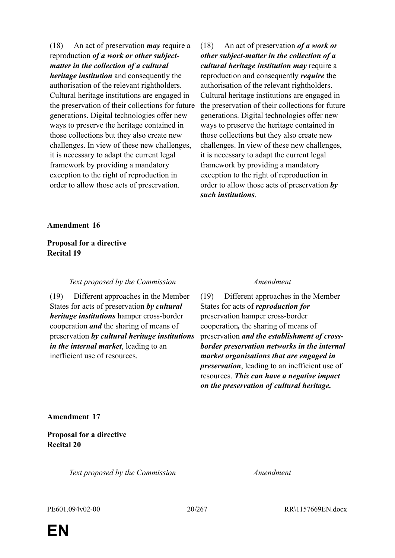(18) An act of preservation *may* require a reproduction *of a work or other subjectmatter in the collection of a cultural heritage institution* and consequently the authorisation of the relevant rightholders. Cultural heritage institutions are engaged in the preservation of their collections for future generations. Digital technologies offer new ways to preserve the heritage contained in those collections but they also create new challenges. In view of these new challenges, it is necessary to adapt the current legal framework by providing a mandatory exception to the right of reproduction in order to allow those acts of preservation.

(18) An act of preservation *of a work or other subject-matter in the collection of a cultural heritage institution may* require a reproduction and consequently *require* the authorisation of the relevant rightholders. Cultural heritage institutions are engaged in the preservation of their collections for future generations. Digital technologies offer new ways to preserve the heritage contained in those collections but they also create new challenges. In view of these new challenges, it is necessary to adapt the current legal framework by providing a mandatory exception to the right of reproduction in order to allow those acts of preservation *by such institutions*.

**Amendment 16** 

**Proposal for a directive Recital 19** 

*Text proposed by the Commission Amendment*

(19) Different approaches in the Member States for acts of preservation *by cultural heritage institutions* hamper cross-border cooperation *and* the sharing of means of preservation *by cultural heritage institutions in the internal market*, leading to an inefficient use of resources.

(19) Different approaches in the Member States for acts of *reproduction for* preservation hamper cross-border cooperation*,* the sharing of means of preservation *and the establishment of crossborder preservation networks in the internal market organisations that are engaged in preservation*, leading to an inefficient use of resources. *This can have a negative impact on the preservation of cultural heritage.*

**Amendment 17** 

**Proposal for a directive Recital 20** 

*Text proposed by the Commission Amendment*

**EN**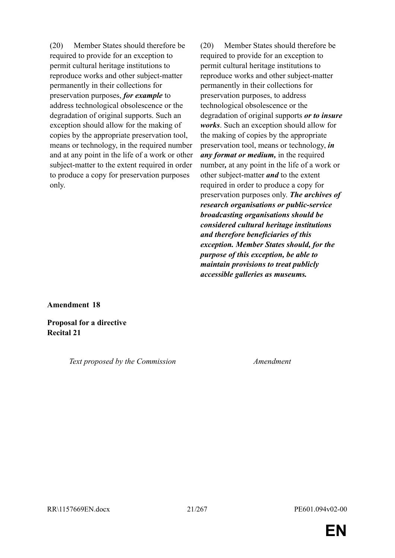(20) Member States should therefore be required to provide for an exception to permit cultural heritage institutions to reproduce works and other subject-matter permanently in their collections for preservation purposes, *for example* to address technological obsolescence or the degradation of original supports. Such an exception should allow for the making of copies by the appropriate preservation tool, means or technology, in the required number and at any point in the life of a work or other subject-matter to the extent required in order to produce a copy for preservation purposes only.

(20) Member States should therefore be required to provide for an exception to permit cultural heritage institutions to reproduce works and other subject-matter permanently in their collections for preservation purposes, to address technological obsolescence or the degradation of original supports *or to insure works*. Such an exception should allow for the making of copies by the appropriate preservation tool, means or technology, *in any format or medium,* in the required number*,* at any point in the life of a work or other subject-matter *and* to the extent required in order to produce a copy for preservation purposes only. *The archives of research organisations or public-service broadcasting organisations should be considered cultural heritage institutions and therefore beneficiaries of this exception. Member States should, for the purpose of this exception, be able to maintain provisions to treat publicly accessible galleries as museums.*

**Amendment 18** 

**Proposal for a directive Recital 21** 

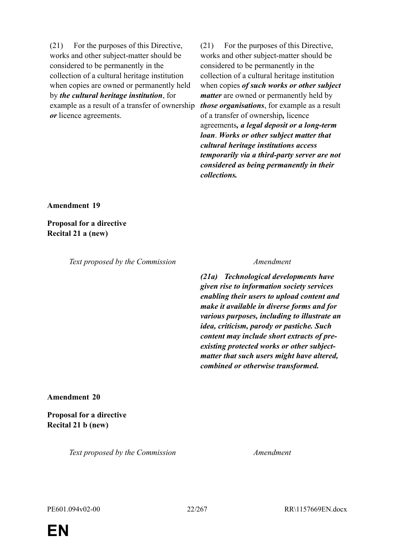(21) For the purposes of this Directive, works and other subject-matter should be considered to be permanently in the collection of a cultural heritage institution when copies are owned or permanently held by *the cultural heritage institution*, for example as a result of a transfer of ownership *or* licence agreements.

(21) For the purposes of this Directive, works and other subject-matter should be considered to be permanently in the collection of a cultural heritage institution when copies *of such works or other subject matter* are owned or permanently held by *those organisations*, for example as a result of a transfer of ownership*,* licence agreements*, a legal deposit or a long-term loan*. *Works or other subject matter that cultural heritage institutions access temporarily via a third-party server are not considered as being permanently in their collections.*

**Amendment 19** 

**Proposal for a directive Recital 21 a (new)** 

*Text proposed by the Commission Amendment*

*(21a) Technological developments have given rise to information society services enabling their users to upload content and make it available in diverse forms and for various purposes, including to illustrate an idea, criticism, parody or pastiche. Such content may include short extracts of preexisting protected works or other subjectmatter that such users might have altered, combined or otherwise transformed.*

**Amendment 20** 

**Proposal for a directive Recital 21 b (new)** 

*Text proposed by the Commission Amendment*

**EN**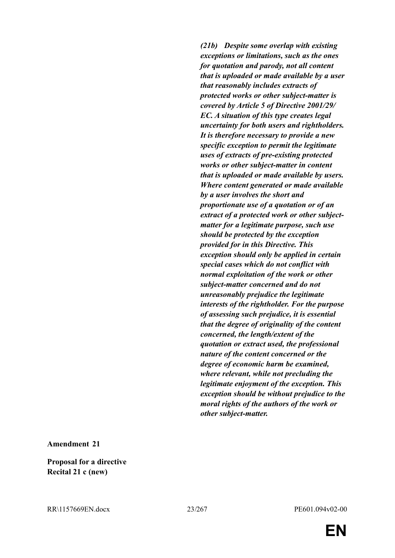*(21b) Despite some overlap with existing exceptions or limitations, such as the ones for quotation and parody, not all content that is uploaded or made available by a user that reasonably includes extracts of protected works or other subject-matter is covered by Article 5 of Directive 2001/29/ EC. A situation of this type creates legal uncertainty for both users and rightholders. It is therefore necessary to provide a new specific exception to permit the legitimate uses of extracts of pre-existing protected works or other subject-matter in content that is uploaded or made available by users. Where content generated or made available by a user involves the short and proportionate use of a quotation or of an extract of a protected work or other subjectmatter for a legitimate purpose, such use should be protected by the exception provided for in this Directive. This exception should only be applied in certain special cases which do not conflict with normal exploitation of the work or other subject-matter concerned and do not unreasonably prejudice the legitimate interests of the rightholder. For the purpose of assessing such prejudice, it is essential that the degree of originality of the content concerned, the length/extent of the quotation or extract used, the professional nature of the content concerned or the degree of economic harm be examined, where relevant, while not precluding the legitimate enjoyment of the exception. This exception should be without prejudice to the moral rights of the authors of the work or other subject-matter.*

### **Amendment 21**

**Proposal for a directive Recital 21 c (new)** 

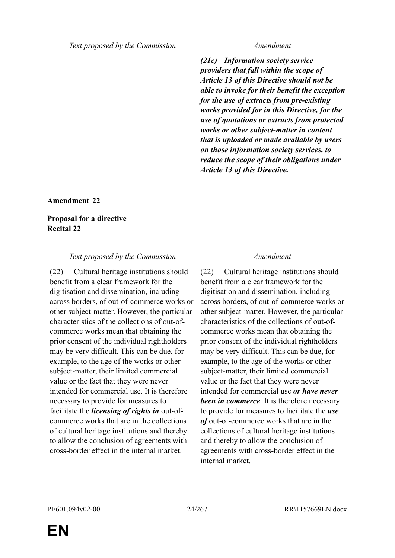### *Text proposed by the Commission Amendment*

*(21c) Information society service providers that fall within the scope of Article 13 of this Directive should not be able to invoke for their benefit the exception for the use of extracts from pre-existing works provided for in this Directive, for the use of quotations or extracts from protected works or other subject-matter in content that is uploaded or made available by users on those information society services, to reduce the scope of their obligations under Article 13 of this Directive.*

### **Amendment 22**

# **Proposal for a directive Recital 22**

### *Text proposed by the Commission Amendment*

(22) Cultural heritage institutions should benefit from a clear framework for the digitisation and dissemination, including across borders, of out-of-commerce works or other subject-matter. However, the particular characteristics of the collections of out-ofcommerce works mean that obtaining the prior consent of the individual rightholders may be very difficult. This can be due, for example, to the age of the works or other subject-matter, their limited commercial value or the fact that they were never intended for commercial use. It is therefore necessary to provide for measures to facilitate the *licensing of rights in* out-ofcommerce works that are in the collections of cultural heritage institutions and thereby to allow the conclusion of agreements with cross-border effect in the internal market.

(22) Cultural heritage institutions should benefit from a clear framework for the digitisation and dissemination, including across borders, of out-of-commerce works or other subject-matter. However, the particular characteristics of the collections of out-ofcommerce works mean that obtaining the prior consent of the individual rightholders may be very difficult. This can be due, for example, to the age of the works or other subject-matter, their limited commercial value or the fact that they were never intended for commercial use *or have never been in commerce*. It is therefore necessary to provide for measures to facilitate the *use of* out-of-commerce works that are in the collections of cultural heritage institutions and thereby to allow the conclusion of agreements with cross-border effect in the internal market.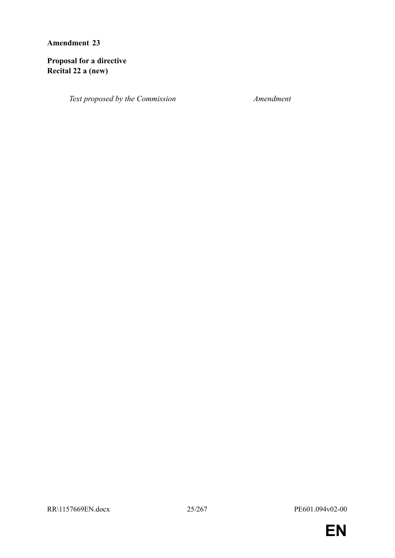# **Amendment 23**

**Proposal for a directive Recital 22 a (new)** 

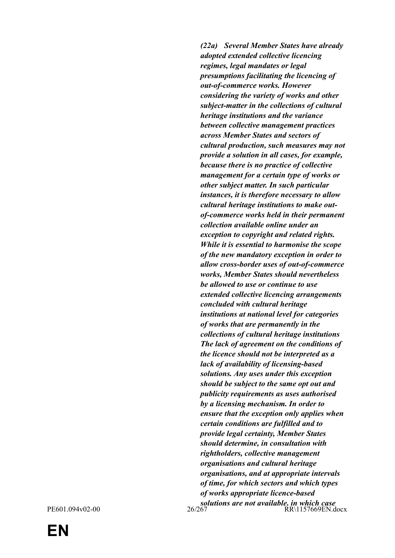*(22a) Several Member States have already adopted extended collective licencing regimes, legal mandates or legal presumptions facilitating the licencing of out-of-commerce works. However considering the variety of works and other subject-matter in the collections of cultural heritage institutions and the variance between collective management practices across Member States and sectors of cultural production, such measures may not provide a solution in all cases, for example, because there is no practice of collective management for a certain type of works or other subject matter. In such particular instances, it is therefore necessary to allow cultural heritage institutions to make outof-commerce works held in their permanent collection available online under an exception to copyright and related rights. While it is essential to harmonise the scope of the new mandatory exception in order to allow cross-border uses of out-of-commerce works, Member States should nevertheless be allowed to use or continue to use extended collective licencing arrangements concluded with cultural heritage institutions at national level for categories of works that are permanently in the collections of cultural heritage institutions The lack of agreement on the conditions of the licence should not be interpreted as a lack of availability of licensing-based solutions. Any uses under this exception should be subject to the same opt out and publicity requirements as uses authorised by a licensing mechanism. In order to ensure that the exception only applies when certain conditions are fulfilled and to provide legal certainty, Member States should determine, in consultation with rightholders, collective management organisations and cultural heritage organisations, and at appropriate intervals of time, for which sectors and which types of works appropriate licence-based*  **solutions are not available, in which case**<br>RR\1157669EN.docx<br>RR\1157669EN.docx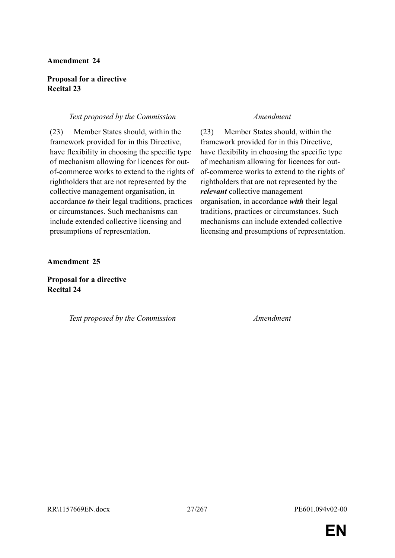### **Amendment 24**

## **Proposal for a directive Recital 23**

### *Text proposed by the Commission Amendment*

(23) Member States should, within the framework provided for in this Directive, have flexibility in choosing the specific type of mechanism allowing for licences for outof-commerce works to extend to the rights of rightholders that are not represented by the collective management organisation, in accordance *to* their legal traditions, practices or circumstances. Such mechanisms can include extended collective licensing and presumptions of representation.

(23) Member States should, within the framework provided for in this Directive, have flexibility in choosing the specific type of mechanism allowing for licences for outof-commerce works to extend to the rights of rightholders that are not represented by the *relevant* collective management organisation, in accordance *with* their legal traditions, practices or circumstances. Such mechanisms can include extended collective licensing and presumptions of representation.

**Amendment 25** 

**Proposal for a directive Recital 24** 

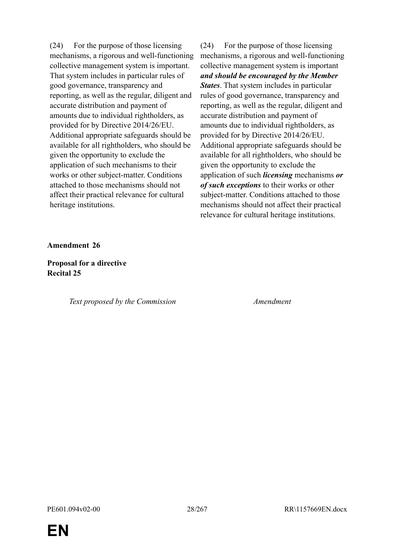(24) For the purpose of those licensing mechanisms, a rigorous and well-functioning collective management system is important. That system includes in particular rules of good governance, transparency and reporting, as well as the regular, diligent and accurate distribution and payment of amounts due to individual rightholders, as provided for by Directive 2014/26/EU. Additional appropriate safeguards should be available for all rightholders, who should be given the opportunity to exclude the application of such mechanisms to their works or other subject-matter. Conditions attached to those mechanisms should not affect their practical relevance for cultural heritage institutions.

(24) For the purpose of those licensing mechanisms, a rigorous and well-functioning collective management system is important *and should be encouraged by the Member States*. That system includes in particular rules of good governance, transparency and reporting, as well as the regular, diligent and accurate distribution and payment of amounts due to individual rightholders, as provided for by Directive 2014/26/EU. Additional appropriate safeguards should be available for all rightholders, who should be given the opportunity to exclude the application of such *licensing* mechanisms *or of such exceptions* to their works or other subject-matter. Conditions attached to those mechanisms should not affect their practical relevance for cultural heritage institutions.

**Amendment 26** 

**Proposal for a directive Recital 25**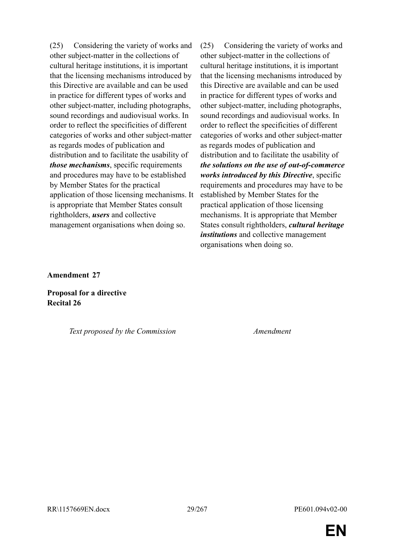(25) Considering the variety of works and other subject-matter in the collections of cultural heritage institutions, it is important that the licensing mechanisms introduced by this Directive are available and can be used in practice for different types of works and other subject-matter, including photographs, sound recordings and audiovisual works. In order to reflect the specificities of different categories of works and other subject-matter as regards modes of publication and distribution and to facilitate the usability of *those mechanisms*, specific requirements and procedures may have to be established by Member States for the practical application of those licensing mechanisms. It is appropriate that Member States consult rightholders, *users* and collective management organisations when doing so.

(25) Considering the variety of works and other subject-matter in the collections of cultural heritage institutions, it is important that the licensing mechanisms introduced by this Directive are available and can be used in practice for different types of works and other subject-matter, including photographs, sound recordings and audiovisual works. In order to reflect the specificities of different categories of works and other subject-matter as regards modes of publication and distribution and to facilitate the usability of *the solutions on the use of out-of-commerce works introduced by this Directive*, specific requirements and procedures may have to be established by Member States for the practical application of those licensing mechanisms. It is appropriate that Member States consult rightholders, *cultural heritage institutions* and collective management organisations when doing so.

**Amendment 27** 

**Proposal for a directive Recital 26** 

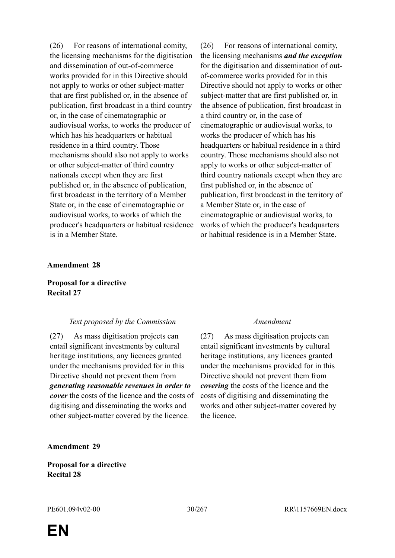(26) For reasons of international comity, the licensing mechanisms for the digitisation and dissemination of out-of-commerce works provided for in this Directive should not apply to works or other subject-matter that are first published or, in the absence of publication, first broadcast in a third country or, in the case of cinematographic or audiovisual works, to works the producer of which has his headquarters or habitual residence in a third country. Those mechanisms should also not apply to works or other subject-matter of third country nationals except when they are first published or, in the absence of publication, first broadcast in the territory of a Member State or, in the case of cinematographic or audiovisual works, to works of which the producer's headquarters or habitual residence is in a Member State.

(26) For reasons of international comity, the licensing mechanisms *and the exception* for the digitisation and dissemination of outof-commerce works provided for in this Directive should not apply to works or other subject-matter that are first published or, in the absence of publication, first broadcast in a third country or, in the case of cinematographic or audiovisual works, to works the producer of which has his headquarters or habitual residence in a third country. Those mechanisms should also not apply to works or other subject-matter of third country nationals except when they are first published or, in the absence of publication, first broadcast in the territory of a Member State or, in the case of cinematographic or audiovisual works, to works of which the producer's headquarters or habitual residence is in a Member State.

### **Amendment 28**

**Proposal for a directive Recital 27** 

### *Text proposed by the Commission Amendment*

(27) As mass digitisation projects can entail significant investments by cultural heritage institutions, any licences granted under the mechanisms provided for in this Directive should not prevent them from *generating reasonable revenues in order to cover* the costs of the licence and the costs of digitising and disseminating the works and other subject-matter covered by the licence.

### **Amendment 29**

**Proposal for a directive Recital 28** 

(27) As mass digitisation projects can entail significant investments by cultural heritage institutions, any licences granted under the mechanisms provided for in this Directive should not prevent them from *covering* the costs of the licence and the costs of digitising and disseminating the works and other subject-matter covered by the licence.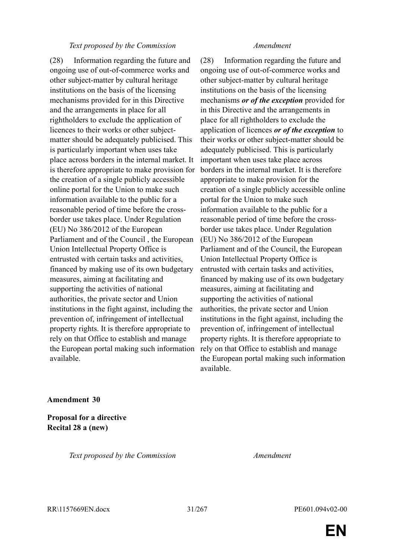### *Text proposed by the Commission Amendment*

(28) Information regarding the future and ongoing use of out-of-commerce works and other subject-matter by cultural heritage institutions on the basis of the licensing mechanisms provided for in this Directive and the arrangements in place for all rightholders to exclude the application of licences to their works or other subjectmatter should be adequately publicised. This is particularly important when uses take place across borders in the internal market. It is therefore appropriate to make provision for the creation of a single publicly accessible online portal for the Union to make such information available to the public for a reasonable period of time before the crossborder use takes place. Under Regulation (EU) No 386/2012 of the European Parliament and of the Council , the European Union Intellectual Property Office is entrusted with certain tasks and activities, financed by making use of its own budgetary measures, aiming at facilitating and supporting the activities of national authorities, the private sector and Union institutions in the fight against, including the prevention of, infringement of intellectual property rights. It is therefore appropriate to rely on that Office to establish and manage the European portal making such information available.

(28) Information regarding the future and ongoing use of out-of-commerce works and other subject-matter by cultural heritage institutions on the basis of the licensing mechanisms *or of the exception* provided for in this Directive and the arrangements in place for all rightholders to exclude the application of licences *or of the exception* to their works or other subject-matter should be adequately publicised. This is particularly important when uses take place across borders in the internal market. It is therefore appropriate to make provision for the creation of a single publicly accessible online portal for the Union to make such information available to the public for a reasonable period of time before the crossborder use takes place. Under Regulation (EU) No 386/2012 of the European Parliament and of the Council, the European Union Intellectual Property Office is entrusted with certain tasks and activities, financed by making use of its own budgetary measures, aiming at facilitating and supporting the activities of national authorities, the private sector and Union institutions in the fight against, including the prevention of, infringement of intellectual property rights. It is therefore appropriate to rely on that Office to establish and manage the European portal making such information available.

**Amendment 30** 

**Proposal for a directive Recital 28 a (new)** 

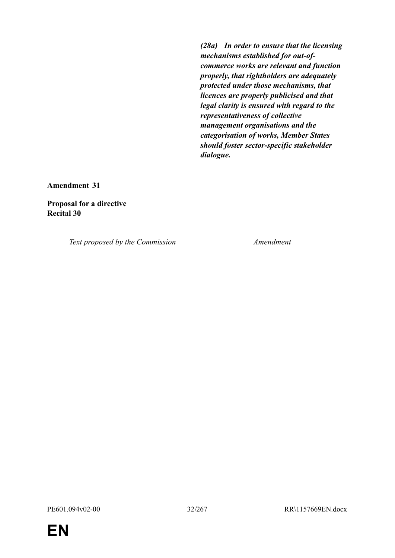*(28a) In order to ensure that the licensing mechanisms established for out-ofcommerce works are relevant and function properly, that rightholders are adequately protected under those mechanisms, that licences are properly publicised and that legal clarity is ensured with regard to the representativeness of collective management organisations and the categorisation of works, Member States should foster sector-specific stakeholder dialogue.*

**Amendment 31** 

**Proposal for a directive Recital 30**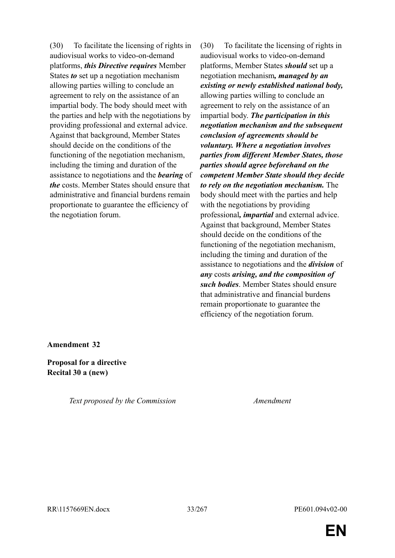(30) To facilitate the licensing of rights in audiovisual works to video-on-demand platforms, *this Directive requires* Member States *to* set up a negotiation mechanism allowing parties willing to conclude an agreement to rely on the assistance of an impartial body. The body should meet with the parties and help with the negotiations by providing professional and external advice. Against that background, Member States should decide on the conditions of the functioning of the negotiation mechanism, including the timing and duration of the assistance to negotiations and the *bearing* of *the* costs. Member States should ensure that administrative and financial burdens remain proportionate to guarantee the efficiency of the negotiation forum.

(30) To facilitate the licensing of rights in audiovisual works to video-on-demand platforms, Member States *should* set up a negotiation mechanism*, managed by an existing or newly established national body,* allowing parties willing to conclude an agreement to rely on the assistance of an impartial body. *The participation in this negotiation mechanism and the subsequent conclusion of agreements should be voluntary. Where a negotiation involves parties from different Member States, those parties should agree beforehand on the competent Member State should they decide to rely on the negotiation mechanism.* The body should meet with the parties and help with the negotiations by providing professional*, impartial* and external advice. Against that background, Member States should decide on the conditions of the functioning of the negotiation mechanism, including the timing and duration of the assistance to negotiations and the *division* of *any* costs *arising, and the composition of such bodies*. Member States should ensure that administrative and financial burdens remain proportionate to guarantee the efficiency of the negotiation forum.

**Amendment 32** 

**Proposal for a directive Recital 30 a (new)** 

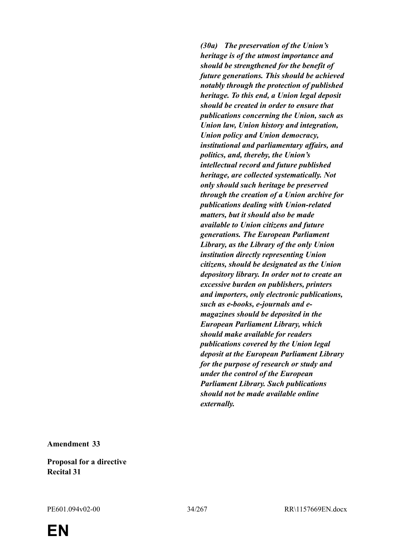*(30a) The preservation of the Union's heritage is of the utmost importance and should be strengthened for the benefit of future generations. This should be achieved notably through the protection of published heritage. To this end, a Union legal deposit should be created in order to ensure that publications concerning the Union, such as Union law, Union history and integration, Union policy and Union democracy, institutional and parliamentary affairs, and politics, and, thereby, the Union's intellectual record and future published heritage, are collected systematically. Not only should such heritage be preserved through the creation of a Union archive for publications dealing with Union-related matters, but it should also be made available to Union citizens and future generations. The European Parliament Library, as the Library of the only Union institution directly representing Union citizens, should be designated as the Union depository library. In order not to create an excessive burden on publishers, printers and importers, only electronic publications, such as e-books, e-journals and emagazines should be deposited in the European Parliament Library, which should make available for readers publications covered by the Union legal deposit at the European Parliament Library for the purpose of research or study and under the control of the European Parliament Library. Such publications should not be made available online externally.*

### **Amendment 33**

**Proposal for a directive Recital 31** 

**EN**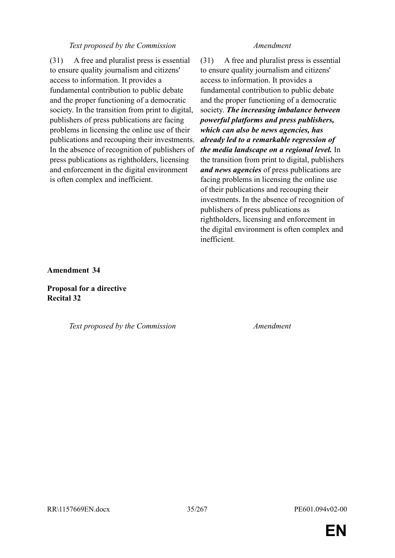### *Text proposed by the Commission Amendment*

(31) A free and pluralist press is essential to ensure quality journalism and citizens' access to information. It provides a fundamental contribution to public debate and the proper functioning of a democratic society. In the transition from print to digital, publishers of press publications are facing problems in licensing the online use of their publications and recouping their investments. In the absence of recognition of publishers of press publications as rightholders, licensing and enforcement in the digital environment is often complex and inefficient.

(31) A free and pluralist press is essential to ensure quality journalism and citizens' access to information. It provides a fundamental contribution to public debate and the proper functioning of a democratic society. *The increasing imbalance between powerful platforms and press publishers, which can also be news agencies, has already led to a remarkable regression of the media landscape on a regional level.* In the transition from print to digital, publishers *and news agencies* of press publications are facing problems in licensing the online use of their publications and recouping their investments. In the absence of recognition of publishers of press publications as rightholders, licensing and enforcement in the digital environment is often complex and inefficient.

**Amendment 34** 

**Proposal for a directive Recital 32** 

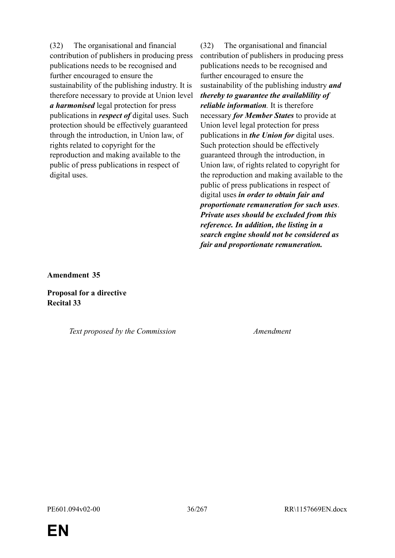(32) The organisational and financial contribution of publishers in producing press publications needs to be recognised and further encouraged to ensure the sustainability of the publishing industry. It is therefore necessary to provide at Union level *a harmonised* legal protection for press publications in *respect of* digital uses. Such protection should be effectively guaranteed through the introduction, in Union law, of rights related to copyright for the reproduction and making available to the public of press publications in respect of digital uses.

(32) The organisational and financial contribution of publishers in producing press publications needs to be recognised and further encouraged to ensure the sustainability of the publishing industry *and thereby to guarantee the availablility of reliable information.* It is therefore necessary *for Member States* to provide at Union level legal protection for press publications in *the Union for* digital uses. Such protection should be effectively guaranteed through the introduction, in Union law, of rights related to copyright for the reproduction and making available to the public of press publications in respect of digital uses *in order to obtain fair and proportionate remuneration for such uses*. *Private uses should be excluded from this reference. In addition, the listing in a search engine should not be considered as fair and proportionate remuneration.*

**Amendment 35** 

**Proposal for a directive Recital 33**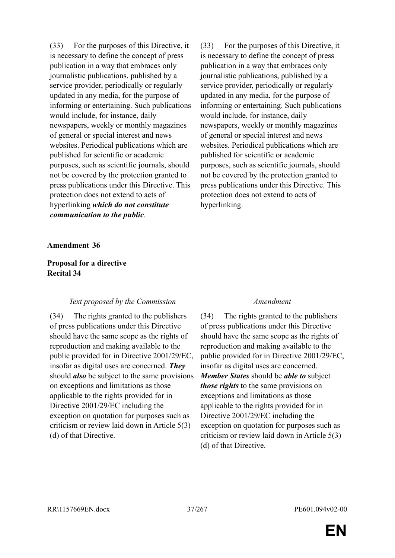(33) For the purposes of this Directive, it is necessary to define the concept of press publication in a way that embraces only journalistic publications, published by a service provider, periodically or regularly updated in any media, for the purpose of informing or entertaining. Such publications would include, for instance, daily newspapers, weekly or monthly magazines of general or special interest and news websites. Periodical publications which are published for scientific or academic purposes, such as scientific journals, should not be covered by the protection granted to press publications under this Directive. This protection does not extend to acts of hyperlinking *which do not constitute communication to the public*.

(33) For the purposes of this Directive, it is necessary to define the concept of press publication in a way that embraces only journalistic publications, published by a service provider, periodically or regularly updated in any media, for the purpose of informing or entertaining. Such publications would include, for instance, daily newspapers, weekly or monthly magazines of general or special interest and news websites. Periodical publications which are published for scientific or academic purposes, such as scientific journals, should not be covered by the protection granted to press publications under this Directive. This protection does not extend to acts of hyperlinking.

### **Amendment 36**

## **Proposal for a directive Recital 34**

### *Text proposed by the Commission Amendment*

(34) The rights granted to the publishers of press publications under this Directive should have the same scope as the rights of reproduction and making available to the public provided for in Directive 2001/29/EC, insofar as digital uses are concerned. *They* should *also* be subject to the same provisions on exceptions and limitations as those applicable to the rights provided for in Directive 2001/29/EC including the exception on quotation for purposes such as criticism or review laid down in Article 5(3) (d) of that Directive.

(34) The rights granted to the publishers of press publications under this Directive should have the same scope as the rights of reproduction and making available to the public provided for in Directive 2001/29/EC, insofar as digital uses are concerned. *Member States* should be *able to* subject *those rights* to the same provisions on exceptions and limitations as those applicable to the rights provided for in Directive 2001/29/EC including the exception on quotation for purposes such as criticism or review laid down in Article 5(3) (d) of that Directive.

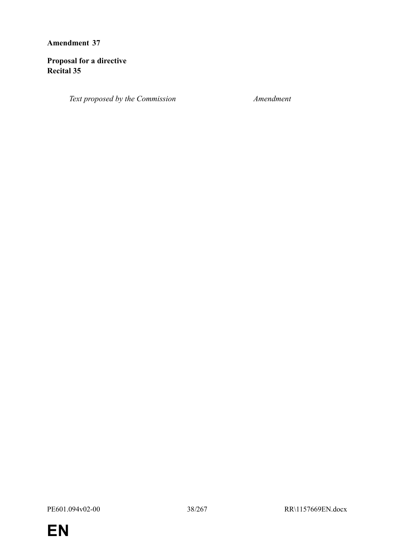# **Amendment 37**

**Proposal for a directive Recital 35** 

*Text proposed by the Commission Amendment*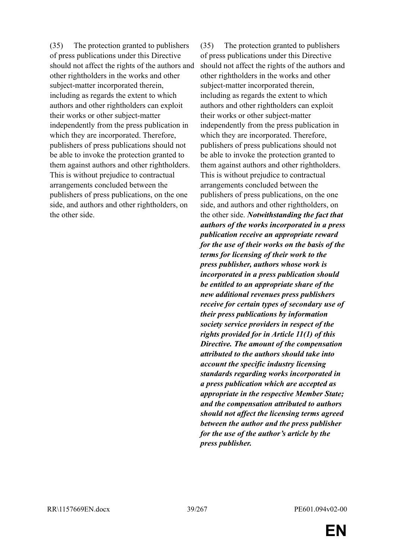(35) The protection granted to publishers of press publications under this Directive should not affect the rights of the authors and other rightholders in the works and other subject-matter incorporated therein, including as regards the extent to which authors and other rightholders can exploit their works or other subject-matter independently from the press publication in which they are incorporated. Therefore, publishers of press publications should not be able to invoke the protection granted to them against authors and other rightholders. This is without prejudice to contractual arrangements concluded between the publishers of press publications, on the one side, and authors and other rightholders, on the other side.

(35) The protection granted to publishers of press publications under this Directive should not affect the rights of the authors and other rightholders in the works and other subject-matter incorporated therein, including as regards the extent to which authors and other rightholders can exploit their works or other subject-matter independently from the press publication in which they are incorporated. Therefore, publishers of press publications should not be able to invoke the protection granted to them against authors and other rightholders. This is without prejudice to contractual arrangements concluded between the publishers of press publications, on the one side, and authors and other rightholders, on the other side. *Notwithstanding the fact that authors of the works incorporated in a press publication receive an appropriate reward for the use of their works on the basis of the terms for licensing of their work to the press publisher, authors whose work is incorporated in a press publication should be entitled to an appropriate share of the new additional revenues press publishers receive for certain types of secondary use of their press publications by information society service providers in respect of the rights provided for in Article 11(1) of this Directive. The amount of the compensation attributed to the authors should take into account the specific industry licensing standards regarding works incorporated in a press publication which are accepted as appropriate in the respective Member State; and the compensation attributed to authors should not affect the licensing terms agreed between the author and the press publisher for the use of the author's article by the press publisher.*

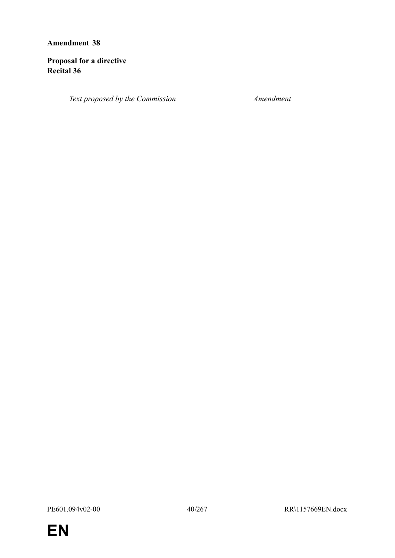# **Amendment 38**

**Proposal for a directive Recital 36** 

*Text proposed by the Commission Amendment*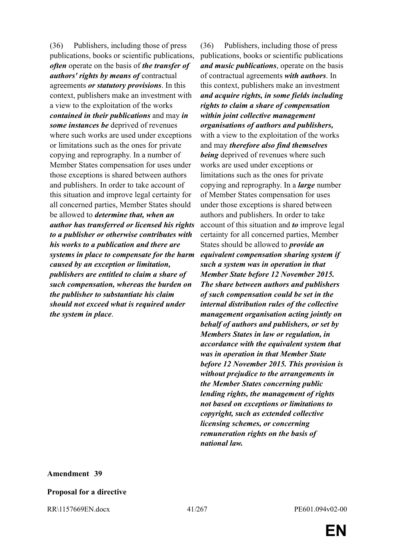(36) Publishers, including those of press publications, books or scientific publications, *often* operate on the basis of *the transfer of authors' rights by means of* contractual agreements *or statutory provisions*. In this context, publishers make an investment with a view to the exploitation of the works *contained in their publications* and may *in some instances be* deprived of revenues where such works are used under exceptions or limitations such as the ones for private copying and reprography. In a number of Member States compensation for uses under those exceptions is shared between authors and publishers. In order to take account of this situation and improve legal certainty for all concerned parties, Member States should be allowed to *determine that, when an author has transferred or licensed his rights to a publisher or otherwise contributes with his works to a publication and there are systems in place to compensate for the harm caused by an exception or limitation, publishers are entitled to claim a share of such compensation, whereas the burden on the publisher to substantiate his claim should not exceed what is required under the system in place*.

(36) Publishers, including those of press publications, books or scientific publications *and music publications*, operate on the basis of contractual agreements *with authors*. In this context, publishers make an investment *and acquire rights, in some fields including rights to claim a share of compensation within joint collective management organisations of authors and publishers,*  with a view to the exploitation of the works and may *therefore also find themselves being* deprived of revenues where such works are used under exceptions or limitations such as the ones for private copying and reprography. In a *large* number of Member States compensation for uses under those exceptions is shared between authors and publishers. In order to take account of this situation and *to* improve legal certainty for all concerned parties, Member States should be allowed to *provide an equivalent compensation sharing system if such a system was in operation in that Member State before 12 November 2015. The share between authors and publishers of such compensation could be set in the internal distribution rules of the collective management organisation acting jointly on behalf of authors and publishers, or set by Members States in law or regulation, in accordance with the equivalent system that was in operation in that Member State before 12 November 2015. This provision is without prejudice to the arrangements in the Member States concerning public lending rights, the management of rights not based on exceptions or limitations to copyright, such as extended collective licensing schemes, or concerning remuneration rights on the basis of national law.* 

### **Amendment 39**

### **Proposal for a directive**

RR\1157669EN.docx 41/267 PE601.094v02-00

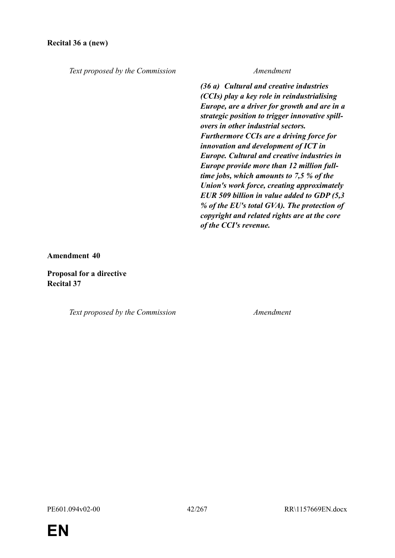*Text proposed by the Commission Amendment*

*(36 a) Cultural and creative industries (CCIs) play a key role in reindustrialising Europe, are a driver for growth and are in a strategic position to trigger innovative spillovers in other industrial sectors. Furthermore CCIs are a driving force for innovation and development of ICT in Europe. Cultural and creative industries in Europe provide more than 12 million fulltime jobs, which amounts to 7,5 % of the Union's work force, creating approximately EUR 509 billion in value added to GDP (5,3 % of the EU's total GVA). The protection of copyright and related rights are at the core of the CCI's revenue.*

**Amendment 40** 

**Proposal for a directive Recital 37**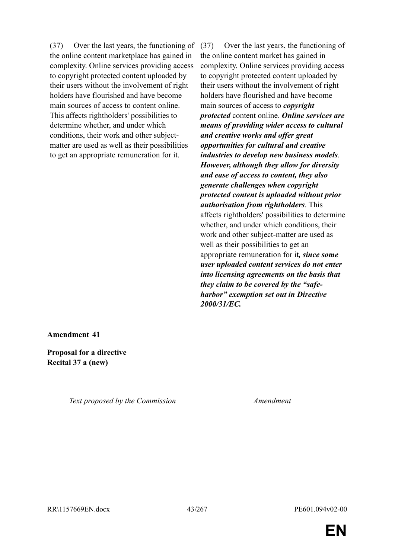(37) Over the last years, the functioning of the online content marketplace has gained in complexity. Online services providing access to copyright protected content uploaded by their users without the involvement of right holders have flourished and have become main sources of access to content online. This affects rightholders' possibilities to determine whether, and under which conditions, their work and other subjectmatter are used as well as their possibilities to get an appropriate remuneration for it.

Over the last years, the functioning of the online content market has gained in complexity. Online services providing access to copyright protected content uploaded by their users without the involvement of right holders have flourished and have become main sources of access to *copyright protected* content online. *Online services are means of providing wider access to cultural and creative works and offer great opportunities for cultural and creative industries to develop new business models*. *However, although they allow for diversity and ease of access to content, they also generate challenges when copyright protected content is uploaded without prior authorisation from rightholders*. This affects rightholders' possibilities to determine whether, and under which conditions, their work and other subject-matter are used as well as their possibilities to get an appropriate remuneration for it*, since some user uploaded content services do not enter into licensing agreements on the basis that they claim to be covered by the "safeharbor" exemption set out in Directive 2000/31/EC.*

**Amendment 41** 

**Proposal for a directive Recital 37 a (new)** 

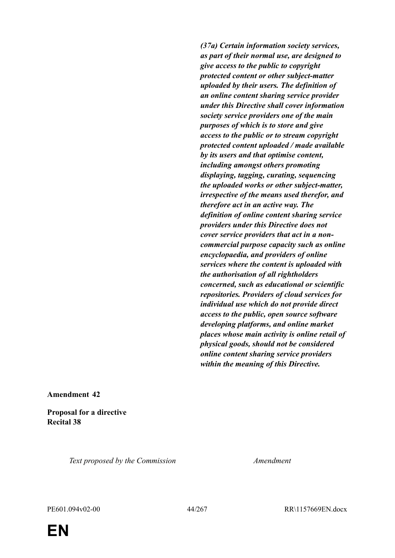*(37a) Certain information society services, as part of their normal use, are designed to give access to the public to copyright protected content or other subject-matter uploaded by their users. The definition of an online content sharing service provider under this Directive shall cover information society service providers one of the main purposes of which is to store and give access to the public or to stream copyright protected content uploaded / made available by its users and that optimise content, including amongst others promoting displaying, tagging, curating, sequencing the uploaded works or other subject-matter, irrespective of the means used therefor, and therefore act in an active way. The definition of online content sharing service providers under this Directive does not cover service providers that act in a noncommercial purpose capacity such as online encyclopaedia, and providers of online services where the content is uploaded with the authorisation of all rightholders concerned, such as educational or scientific repositories. Providers of cloud services for individual use which do not provide direct access to the public, open source software developing platforms, and online market places whose main activity is online retail of physical goods, should not be considered online content sharing service providers within the meaning of this Directive.*

**Amendment 42** 

**Proposal for a directive Recital 38** 

*Text proposed by the Commission Amendment*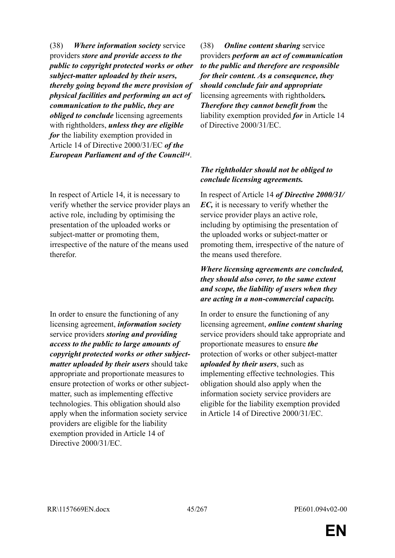(38) *Where information society* service providers *store and provide access to the public to copyright protected works or other subject-matter uploaded by their users, thereby going beyond the mere provision of physical facilities and performing an act of communication to the public, they are <i>obliged to conclude* licensing agreements with rightholders, *unless they are eligible for* the liability exemption provided in Article 14 of Directive 2000/31/EC *of the European Parliament and of the Council34*.

In respect of Article 14, it is necessary to verify whether the service provider plays an active role, including by optimising the presentation of the uploaded works or subject-matter or promoting them, irrespective of the nature of the means used therefor.

In order to ensure the functioning of any licensing agreement, *information society* service providers *storing and providing access to the public to large amounts of copyright protected works or other subjectmatter uploaded by their users* should take appropriate and proportionate measures to ensure protection of works or other subjectmatter, such as implementing effective technologies. This obligation should also apply when the information society service providers are eligible for the liability exemption provided in Article 14 of Directive 2000/31/EC.

(38) *Online content sharing* service providers *perform an act of communication to the public and therefore are responsible for their content. As a consequence, they should conclude fair and appropriate*  licensing agreements with rightholders*. Therefore they cannot benefit from* the liability exemption provided *for* in Article 14 of Directive 2000/31/EC.

# *The rightholder should not be obliged to conclude licensing agreements.*

In respect of Article 14 *of Directive 2000/31/ EC,* it is necessary to verify whether the service provider plays an active role, including by optimising the presentation of the uploaded works or subject-matter or promoting them, irrespective of the nature of the means used therefore.

*Where licensing agreements are concluded, they should also cover, to the same extent and scope, the liability of users when they are acting in a non-commercial capacity.*

In order to ensure the functioning of any licensing agreement, *online content sharing*  service providers should take appropriate and proportionate measures to ensure *the* protection of works or other subject-matter *uploaded by their users*, such as implementing effective technologies. This obligation should also apply when the information society service providers are eligible for the liability exemption provided in Article 14 of Directive 2000/31/EC.

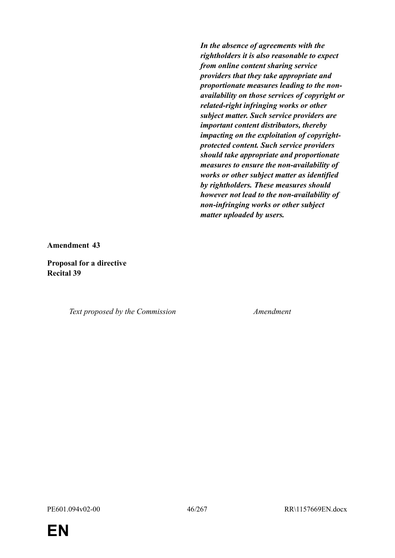*In the absence of agreements with the rightholders it is also reasonable to expect from online content sharing service providers that they take appropriate and proportionate measures leading to the nonavailability on those services of copyright or related-right infringing works or other subject matter. Such service providers are important content distributors, thereby impacting on the exploitation of copyrightprotected content. Such service providers should take appropriate and proportionate measures to ensure the non-availability of works or other subject matter as identified by rightholders. These measures should however not lead to the non-availability of non-infringing works or other subject matter uploaded by users.*

**Amendment 43** 

**Proposal for a directive Recital 39** 

*Text proposed by the Commission Amendment*

**EN**

PE601.094v02-00 46/267 RR\1157669EN.docx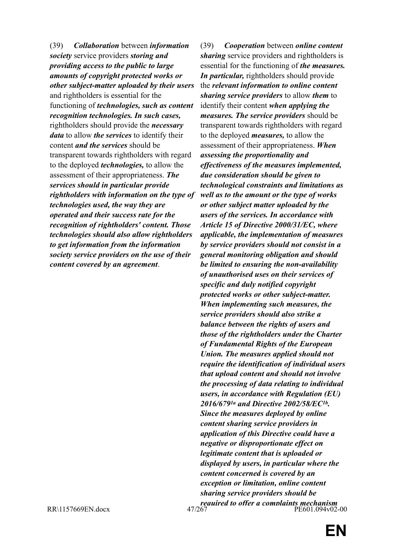(39) *Collaboration* between *information society* service providers *storing and providing access to the public to large amounts of copyright protected works or other subject-matter uploaded by their users*  and rightholders is essential for the functioning of *technologies, such as content recognition technologies. In such cases,*  rightholders should provide the *necessary data* to allow *the services* to identify their content *and the services* should be transparent towards rightholders with regard to the deployed *technologies,* to allow the assessment of their appropriateness. *The services should in particular provide rightholders with information on the type of technologies used, the way they are operated and their success rate for the recognition of rightholders' content. Those technologies should also allow rightholders to get information from the information society service providers on the use of their content covered by an agreement*.

(39) *Cooperation* between *online content sharing* service providers and rightholders is essential for the functioning of *the measures. In particular,* rightholders should provide the *relevant information to online content sharing service providers* to allow *them* to identify their content *when applying the measures. The service providers* should be transparent towards rightholders with regard to the deployed *measures,* to allow the assessment of their appropriateness. *When assessing the proportionality and effectiveness of the measures implemented, due consideration should be given to technological constraints and limitations as well as to the amount or the type of works or other subject matter uploaded by the users of the services. In accordance with Article 15 of Directive 2000/31/EC, where applicable, the implementation of measures by service providers should not consist in a general monitoring obligation and should be limited to ensuring the non-availability of unauthorised uses on their services of specific and duly notified copyright protected works or other subject-matter. When implementing such measures, the service providers should also strike a balance between the rights of users and those of the rightholders under the Charter of Fundamental Rights of the European Union. The measures applied should not require the identification of individual users that upload content and should not involve the processing of data relating to individual users, in accordance with Regulation (EU) 2016/6791a and Directive 2002/58/EC1b. Since the measures deployed by online content sharing service providers in application of this Directive could have a negative or disproportionate effect on legitimate content that is uploaded or displayed by users, in particular where the content concerned is covered by an exception or limitation, online content sharing service providers should be*  **required to offer a complaints mechanism**<br>PE601.094v02-00 PE601.094v02-00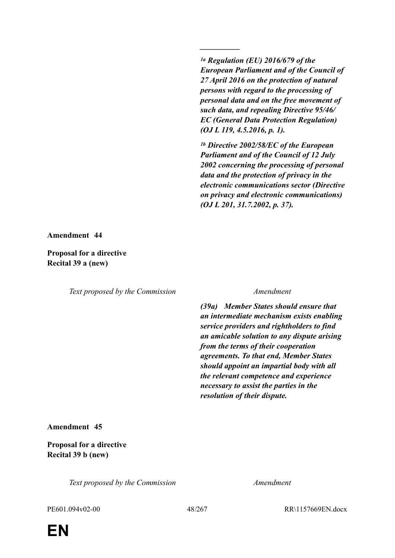*1a Regulation (EU) 2016/679 of the European Parliament and of the Council of 27 April 2016 on the protection of natural persons with regard to the processing of personal data and on the free movement of such data, and repealing Directive 95/46/ EC (General Data Protection Regulation) (OJ L 119, 4.5.2016, p. 1).*

*\_\_\_\_\_\_\_\_\_\_*

*1b Directive 2002/58/EC of the European Parliament and of the Council of 12 July 2002 concerning the processing of personal data and the protection of privacy in the electronic communications sector (Directive on privacy and electronic communications) (OJ L 201, 31.7.2002, p. 37).* 

**Amendment 44** 

**Proposal for a directive Recital 39 a (new)** 

*Text proposed by the Commission Amendment*

*(39a) Member States should ensure that an intermediate mechanism exists enabling service providers and rightholders to find an amicable solution to any dispute arising from the terms of their cooperation agreements. To that end, Member States should appoint an impartial body with all the relevant competence and experience necessary to assist the parties in the resolution of their dispute.*

### **Amendment 45**

**Proposal for a directive Recital 39 b (new)** 

*Text proposed by the Commission Amendment*

**EN**

PE601.094v02-00 48/267 RR\1157669EN.docx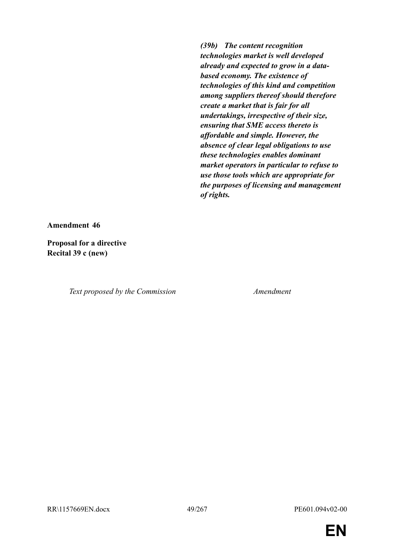*(39b) The content recognition technologies market is well developed already and expected to grow in a databased economy. The existence of technologies of this kind and competition among suppliers thereof should therefore create a market that is fair for all undertakings, irrespective of their size, ensuring that SME access thereto is affordable and simple. However, the absence of clear legal obligations to use these technologies enables dominant market operators in particular to refuse to use those tools which are appropriate for the purposes of licensing and management of rights.*

### **Amendment 46**

**Proposal for a directive Recital 39 c (new)** 

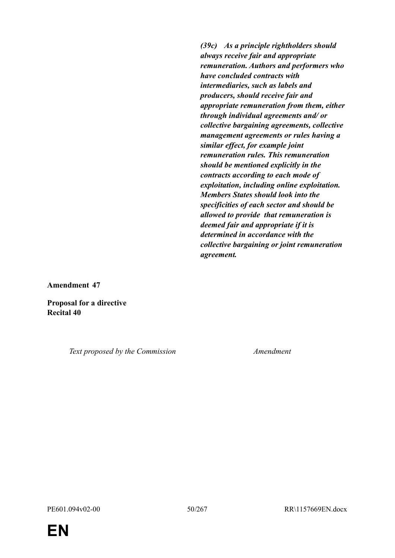*(39c) As a principle rightholders should always receive fair and appropriate remuneration. Authors and performers who have concluded contracts with intermediaries, such as labels and producers, should receive fair and appropriate remuneration from them, either through individual agreements and/ or collective bargaining agreements, collective management agreements or rules having a similar effect, for example joint remuneration rules. This remuneration should be mentioned explicitly in the contracts according to each mode of exploitation, including online exploitation. Members States should look into the specificities of each sector and should be allowed to provide that remuneration is deemed fair and appropriate if it is determined in accordance with the collective bargaining or joint remuneration agreement.*

**Amendment 47** 

**Proposal for a directive Recital 40**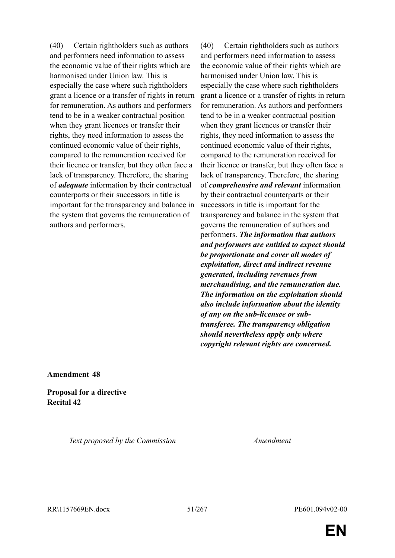(40) Certain rightholders such as authors and performers need information to assess the economic value of their rights which are harmonised under Union law. This is especially the case where such rightholders grant a licence or a transfer of rights in return for remuneration. As authors and performers tend to be in a weaker contractual position when they grant licences or transfer their rights, they need information to assess the continued economic value of their rights, compared to the remuneration received for their licence or transfer, but they often face a lack of transparency. Therefore, the sharing of *adequate* information by their contractual counterparts or their successors in title is important for the transparency and balance in the system that governs the remuneration of authors and performers.

(40) Certain rightholders such as authors and performers need information to assess the economic value of their rights which are harmonised under Union law. This is especially the case where such rightholders grant a licence or a transfer of rights in return for remuneration. As authors and performers tend to be in a weaker contractual position when they grant licences or transfer their rights, they need information to assess the continued economic value of their rights, compared to the remuneration received for their licence or transfer, but they often face a lack of transparency. Therefore, the sharing of *comprehensive and relevant* information by their contractual counterparts or their successors in title is important for the transparency and balance in the system that governs the remuneration of authors and performers. *The information that authors and performers are entitled to expect should be proportionate and cover all modes of exploitation, direct and indirect revenue generated, including revenues from merchandising, and the remuneration due. The information on the exploitation should also include information about the identity of any on the sub-licensee or subtransferee. The transparency obligation should nevertheless apply only where copyright relevant rights are concerned.*

**Amendment 48** 

**Proposal for a directive Recital 42** 

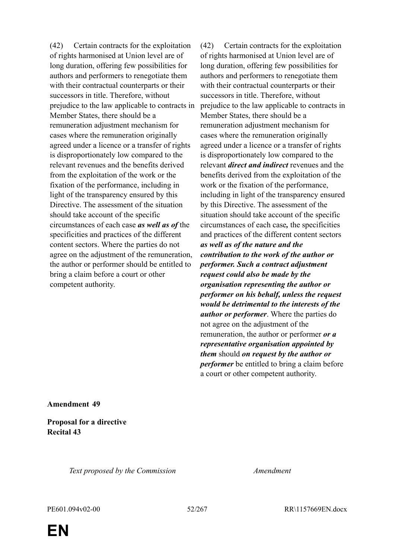(42) Certain contracts for the exploitation of rights harmonised at Union level are of long duration, offering few possibilities for authors and performers to renegotiate them with their contractual counterparts or their successors in title. Therefore, without prejudice to the law applicable to contracts in Member States, there should be a remuneration adjustment mechanism for cases where the remuneration originally agreed under a licence or a transfer of rights is disproportionately low compared to the relevant revenues and the benefits derived from the exploitation of the work or the fixation of the performance, including in light of the transparency ensured by this Directive. The assessment of the situation should take account of the specific circumstances of each case *as well as of* the specificities and practices of the different content sectors. Where the parties do not agree on the adjustment of the remuneration, the author or performer should be entitled to bring a claim before a court or other competent authority.

(42) Certain contracts for the exploitation of rights harmonised at Union level are of long duration, offering few possibilities for authors and performers to renegotiate them with their contractual counterparts or their successors in title. Therefore, without prejudice to the law applicable to contracts in Member States, there should be a remuneration adjustment mechanism for cases where the remuneration originally agreed under a licence or a transfer of rights is disproportionately low compared to the relevant *direct and indirect* revenues and the benefits derived from the exploitation of the work or the fixation of the performance, including in light of the transparency ensured by this Directive. The assessment of the situation should take account of the specific circumstances of each case*,* the specificities and practices of the different content sectors *as well as of the nature and the contribution to the work of the author or performer. Such a contract adjustment request could also be made by the organisation representing the author or performer on his behalf, unless the request would be detrimental to the interests of the author or performer*. Where the parties do not agree on the adjustment of the remuneration, the author or performer *or a representative organisation appointed by them* should *on request by the author or performer* be entitled to bring a claim before a court or other competent authority.

**Amendment 49** 

**Proposal for a directive Recital 43** 

*Text proposed by the Commission Amendment*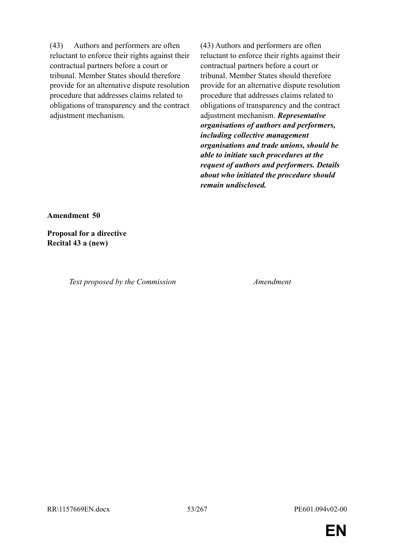(43) Authors and performers are often reluctant to enforce their rights against their contractual partners before a court or tribunal. Member States should therefore provide for an alternative dispute resolution procedure that addresses claims related to obligations of transparency and the contract adjustment mechanism.

(43) Authors and performers are often reluctant to enforce their rights against their contractual partners before a court or tribunal. Member States should therefore provide for an alternative dispute resolution procedure that addresses claims related to obligations of transparency and the contract adjustment mechanism. *Representative organisations of authors and performers, including collective management organisations and trade unions, should be able to initiate such procedures at the request of authors and performers. Details about who initiated the procedure should remain undisclosed.*

**Amendment 50** 

**Proposal for a directive Recital 43 a (new)** 

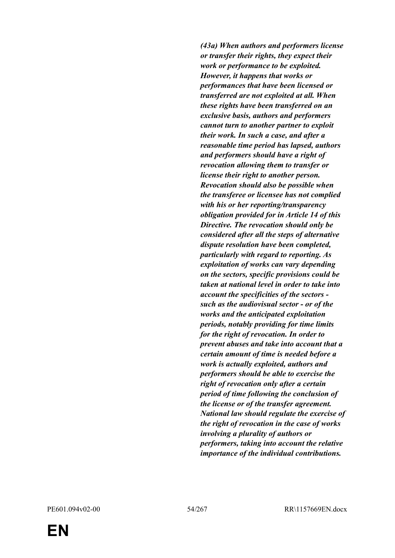*(43a) When authors and performers license or transfer their rights, they expect their work or performance to be exploited. However, it happens that works or performances that have been licensed or transferred are not exploited at all. When these rights have been transferred on an exclusive basis, authors and performers cannot turn to another partner to exploit their work. In such a case, and after a reasonable time period has lapsed, authors and performers should have a right of revocation allowing them to transfer or license their right to another person. Revocation should also be possible when the transferee or licensee has not complied with his or her reporting/transparency obligation provided for in Article 14 of this Directive. The revocation should only be considered after all the steps of alternative dispute resolution have been completed, particularly with regard to reporting. As exploitation of works can vary depending on the sectors, specific provisions could be taken at national level in order to take into account the specificities of the sectors such as the audiovisual sector - or of the works and the anticipated exploitation periods, notably providing for time limits for the right of revocation. In order to prevent abuses and take into account that a certain amount of time is needed before a work is actually exploited, authors and performers should be able to exercise the right of revocation only after a certain period of time following the conclusion of the license or of the transfer agreement. National law should regulate the exercise of the right of revocation in the case of works involving a plurality of authors or performers, taking into account the relative importance of the individual contributions.*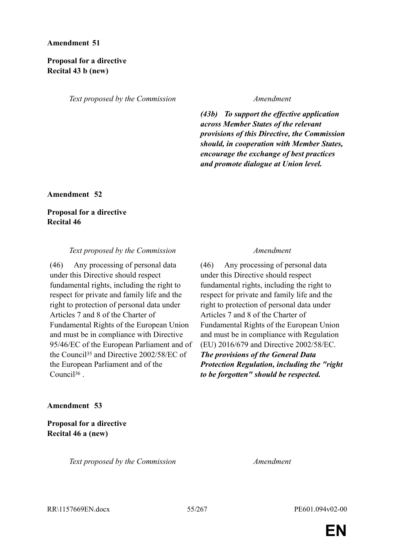# **Proposal for a directive Recital 43 b (new)**

*Text proposed by the Commission Amendment*

*(43b) To support the effective application across Member States of the relevant provisions of this Directive, the Commission should, in cooperation with Member States, encourage the exchange of best practices and promote dialogue at Union level.*

## **Amendment 52**

# **Proposal for a directive Recital 46**

## *Text proposed by the Commission Amendment*

(46) Any processing of personal data under this Directive should respect fundamental rights, including the right to respect for private and family life and the right to protection of personal data under Articles 7 and 8 of the Charter of Fundamental Rights of the European Union and must be in compliance with Directive 95/46/EC of the European Parliament and of the Council35 and Directive 2002/58/EC of the European Parliament and of the Council36 .

(46) Any processing of personal data under this Directive should respect fundamental rights, including the right to respect for private and family life and the right to protection of personal data under Articles 7 and 8 of the Charter of Fundamental Rights of the European Union and must be in compliance with Regulation (EU) 2016/679 and Directive 2002/58/EC. *The provisions of the General Data Protection Regulation, including the "right to be forgotten" should be respected.*

**Amendment 53** 

**Proposal for a directive Recital 46 a (new)** 

*Text proposed by the Commission Amendment*

RR\1157669EN.docx 55/267 PE601.094v02-00

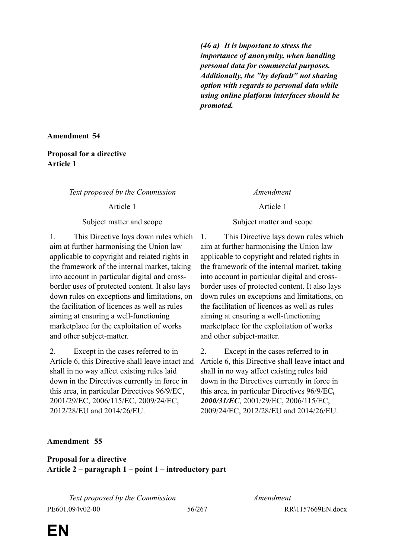*(46 a) It is important to stress the importance of anonymity, when handling personal data for commercial purposes. Additionally, the "by default" not sharing option with regards to personal data while using online platform interfaces should be promoted.*

## **Amendment 54**

## **Proposal for a directive Article 1**

*Text proposed by the Commission Amendment*

### Subject matter and scope Subject matter and scope

1. This Directive lays down rules which aim at further harmonising the Union law applicable to copyright and related rights in the framework of the internal market, taking into account in particular digital and crossborder uses of protected content. It also lays down rules on exceptions and limitations, on the facilitation of licences as well as rules aiming at ensuring a well-functioning marketplace for the exploitation of works and other subject-matter.

2. Except in the cases referred to in Article 6, this Directive shall leave intact and shall in no way affect existing rules laid down in the Directives currently in force in this area, in particular Directives 96/9/EC, 2001/29/EC, 2006/115/EC, 2009/24/EC, 2012/28/EU and 2014/26/EU.

### Article 1 Article 1

1. This Directive lays down rules which aim at further harmonising the Union law applicable to copyright and related rights in the framework of the internal market, taking into account in particular digital and crossborder uses of protected content. It also lays down rules on exceptions and limitations, on the facilitation of licences as well as rules aiming at ensuring a well-functioning marketplace for the exploitation of works and other subject-matter.

2. Except in the cases referred to in Article 6, this Directive shall leave intact and shall in no way affect existing rules laid down in the Directives currently in force in this area, in particular Directives 96/9/EC*, 2000/31/EC*, 2001/29/EC, 2006/115/EC, 2009/24/EC, 2012/28/EU and 2014/26/EU.

### **Amendment 55**

# **Proposal for a directive Article 2 – paragraph 1 – point 1 – introductory part**

*Text proposed by the Commission Amendment* PE601.094v02-00 56/267 RR\1157669EN.docx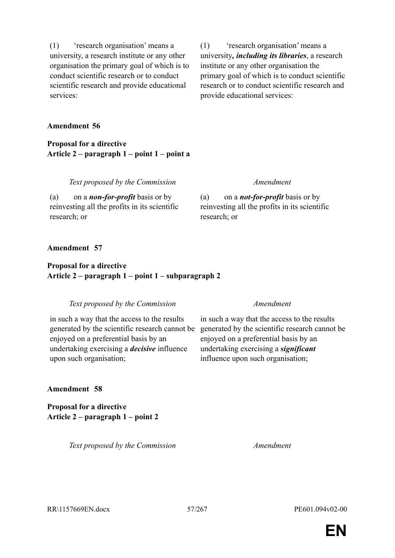(1) 'research organisation' means a university, a research institute or any other organisation the primary goal of which is to conduct scientific research or to conduct scientific research and provide educational services:

(1) 'research organisation' means a university*, including its libraries*, a research institute or any other organisation the primary goal of which is to conduct scientific research or to conduct scientific research and provide educational services:

### **Amendment 56**

**Proposal for a directive Article 2 – paragraph 1 – point 1 – point a** 

*Text proposed by the Commission Amendment*

(a) on a *non-for-profit* basis or by reinvesting all the profits in its scientific research; or

(a) on a *not-for-profit* basis or by reinvesting all the profits in its scientific research; or

### **Amendment 57**

# **Proposal for a directive Article 2 – paragraph 1 – point 1 – subparagraph 2**

### *Text proposed by the Commission Amendment*

in such a way that the access to the results generated by the scientific research cannot be enjoyed on a preferential basis by an undertaking exercising a *decisive* influence upon such organisation;

in such a way that the access to the results generated by the scientific research cannot be enjoyed on a preferential basis by an undertaking exercising a *significant* influence upon such organisation;

## **Amendment 58**

**Proposal for a directive Article 2 – paragraph 1 – point 2** 

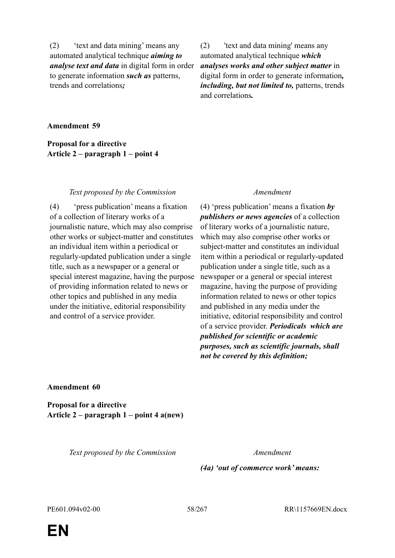(2) 'text and data mining' means any automated analytical technique *aiming to analyse text and data* in digital form in order to generate information *such as* patterns, trends and correlations*;*

(2) 'text and data mining' means any automated analytical technique *which analyses works and other subject matter* in digital form in order to generate information*, including, but not limited to,* patterns, trends and correlations*.*

### **Amendment 59**

**Proposal for a directive Article 2 – paragraph 1 – point 4** 

### *Text proposed by the Commission Amendment*

(4) 'press publication' means a fixation of a collection of literary works of a journalistic nature, which may also comprise other works or subject-matter and constitutes an individual item within a periodical or regularly-updated publication under a single title, such as a newspaper or a general or special interest magazine, having the purpose of providing information related to news or other topics and published in any media under the initiative, editorial responsibility and control of a service provider.

(4) 'press publication' means a fixation *by publishers or news agencies* of a collection of literary works of a journalistic nature, which may also comprise other works or subject-matter and constitutes an individual item within a periodical or regularly-updated publication under a single title, such as a newspaper or a general or special interest magazine, having the purpose of providing information related to news or other topics and published in any media under the initiative, editorial responsibility and control of a service provider. *Periodicals which are published for scientific or academic purposes, such as scientific journals, shall not be covered by this definition;*

**Amendment 60** 

**Proposal for a directive Article 2 – paragraph 1 – point 4 a(new)** 

*Text proposed by the Commission Amendment*

*(4a) 'out of commerce work' means:*

**EN**

PE601.094v02-00 58/267 RR\1157669EN.docx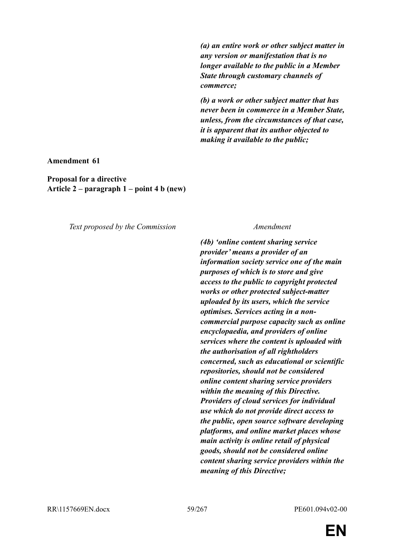*(a) an entire work or other subject matter in any version or manifestation that is no longer available to the public in a Member State through customary channels of commerce;*

*(b) a work or other subject matter that has never been in commerce in a Member State, unless, from the circumstances of that case, it is apparent that its author objected to making it available to the public;*

### **Amendment 61**

## **Proposal for a directive Article 2 – paragraph 1 – point 4 b (new)**

*Text proposed by the Commission Amendment*

*(4b) 'online content sharing service provider' means a provider of an information society service one of the main purposes of which is to store and give access to the public to copyright protected works or other protected subject-matter uploaded by its users, which the service optimises. Services acting in a noncommercial purpose capacity such as online encyclopaedia, and providers of online services where the content is uploaded with the authorisation of all rightholders concerned, such as educational or scientific repositories, should not be considered online content sharing service providers within the meaning of this Directive. Providers of cloud services for individual use which do not provide direct access to the public, open source software developing platforms, and online market places whose main activity is online retail of physical goods, should not be considered online content sharing service providers within the meaning of this Directive;*

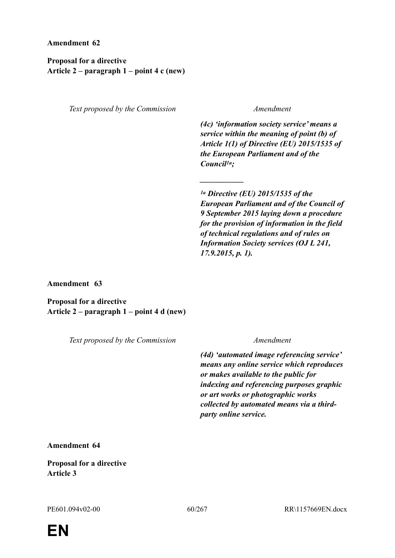## **Amendment 62**

# **Proposal for a directive Article 2 – paragraph 1 – point 4 c (new)**

*Text proposed by the Commission Amendment*

*(4c) 'information society service' means a service within the meaning of point (b) of Article 1(1) of Directive (EU) 2015/1535 of the European Parliament and of the Council1a;*

*\_\_\_\_\_\_\_\_\_\_\_*

*1a Directive (EU) 2015/1535 of the European Parliament and of the Council of 9 September 2015 laying down a procedure for the provision of information in the field of technical regulations and of rules on Information Society services (OJ L 241, 17.9.2015, p. 1).*

**Amendment 63** 

**Proposal for a directive Article 2 – paragraph 1 – point 4 d (new)** 

*Text proposed by the Commission Amendment*

*(4d) 'automated image referencing service' means any online service which reproduces or makes available to the public for indexing and referencing purposes graphic or art works or photographic works collected by automated means via a thirdparty online service.*

## **Amendment 64**

**Proposal for a directive Article 3**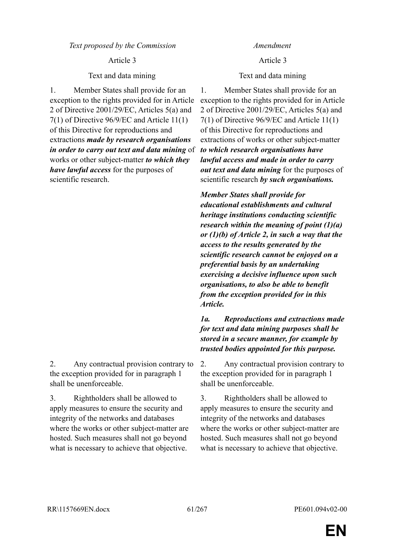# Text and data mining Text and data mining

1. Member States shall provide for an exception to the rights provided for in Article 2 of Directive 2001/29/EC, Articles 5(a) and 7(1) of Directive 96/9/EC and Article 11(1) of this Directive for reproductions and extractions *made by research organisations in order to carry out text and data mining* of works or other subject-matter *to which they have lawful access* for the purposes of scientific research.

2. Any contractual provision contrary to the exception provided for in paragraph 1 shall be unenforceable.

3. Rightholders shall be allowed to apply measures to ensure the security and integrity of the networks and databases where the works or other subject-matter are hosted. Such measures shall not go beyond what is necessary to achieve that objective.

Article 3 Article 3

1. Member States shall provide for an exception to the rights provided for in Article 2 of Directive 2001/29/EC, Articles 5(a) and 7(1) of Directive 96/9/EC and Article 11(1) of this Directive for reproductions and extractions of works or other subject-matter *to which research organisations have lawful access and made in order to carry out text and data mining* for the purposes of scientific research *by such organisations.*

*Member States shall provide for educational establishments and cultural heritage institutions conducting scientific research within the meaning of point (1)(a) or (1)(b) of Article 2, in such a way that the access to the results generated by the scientific research cannot be enjoyed on a preferential basis by an undertaking exercising a decisive influence upon such organisations, to also be able to benefit from the exception provided for in this Article.*

*1a. Reproductions and extractions made for text and data mining purposes shall be stored in a secure manner, for example by trusted bodies appointed for this purpose.*

2. Any contractual provision contrary to the exception provided for in paragraph 1 shall be unenforceable.

3. Rightholders shall be allowed to apply measures to ensure the security and integrity of the networks and databases where the works or other subject-matter are hosted. Such measures shall not go beyond what is necessary to achieve that objective.

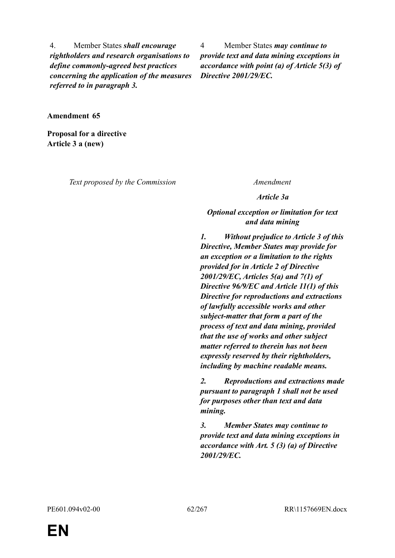4. Member States *shall encourage rightholders and research organisations to define commonly-agreed best practices concerning the application of the measures referred to in paragraph 3.*

4 Member States *may continue to provide text and data mining exceptions in accordance with point (a) of Article 5(3) of Directive 2001/29/EC.*

**Amendment 65** 

**Proposal for a directive Article 3 a (new)** 

*Text proposed by the Commission Amendment*

*Article 3a* 

# *Optional exception or limitation for text and data mining*

*1. Without prejudice to Article 3 of this Directive, Member States may provide for an exception or a limitation to the rights provided for in Article 2 of Directive 2001/29/EC, Articles 5(a) and 7(1) of Directive 96/9/EC and Article 11(1) of this Directive for reproductions and extractions of lawfully accessible works and other subject-matter that form a part of the process of text and data mining, provided that the use of works and other subject matter referred to therein has not been expressly reserved by their rightholders, including by machine readable means.*

*2. Reproductions and extractions made pursuant to paragraph 1 shall not be used for purposes other than text and data mining.*

*3. Member States may continue to provide text and data mining exceptions in accordance with Art. 5 (3) (a) of Directive 2001/29/EC.*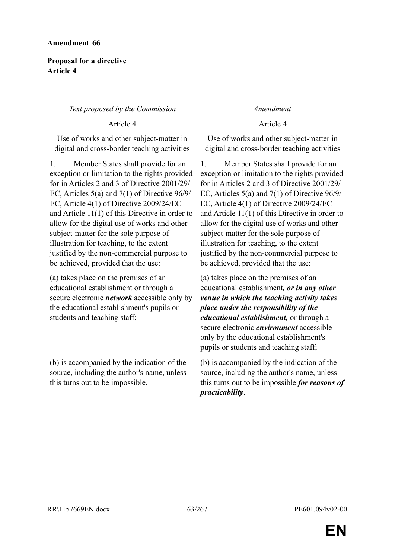# **Proposal for a directive Article 4**

*Text proposed by the Commission Amendment*

Use of works and other subject-matter in digital and cross-border teaching activities

1. Member States shall provide for an exception or limitation to the rights provided for in Articles 2 and 3 of Directive 2001/29/ EC, Articles 5(a) and 7(1) of Directive 96/9/ EC, Article 4(1) of Directive 2009/24/EC and Article 11(1) of this Directive in order to allow for the digital use of works and other subject-matter for the sole purpose of illustration for teaching, to the extent justified by the non-commercial purpose to be achieved, provided that the use:

(a) takes place on the premises of an educational establishment or through a secure electronic *network* accessible only by the educational establishment's pupils or students and teaching staff;

(b) is accompanied by the indication of the source, including the author's name, unless this turns out to be impossible.

# Article 4 Article 4

Use of works and other subject-matter in digital and cross-border teaching activities

1. Member States shall provide for an exception or limitation to the rights provided for in Articles 2 and 3 of Directive 2001/29/ EC, Articles 5(a) and 7(1) of Directive 96/9/ EC, Article 4(1) of Directive 2009/24/EC and Article 11(1) of this Directive in order to allow for the digital use of works and other subject-matter for the sole purpose of illustration for teaching, to the extent justified by the non-commercial purpose to be achieved, provided that the use:

(a) takes place on the premises of an educational establishment*, or in any other venue in which the teaching activity takes place under the responsibility of the educational establishment,* or through a secure electronic *environment* accessible only by the educational establishment's pupils or students and teaching staff;

(b) is accompanied by the indication of the source, including the author's name, unless this turns out to be impossible *for reasons of practicability*.

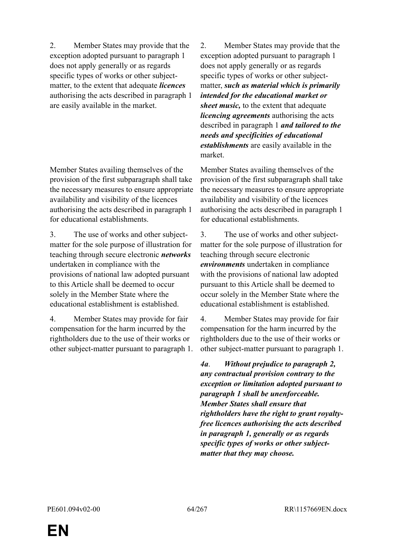2. Member States may provide that the exception adopted pursuant to paragraph 1 does not apply generally or as regards specific types of works or other subjectmatter, to the extent that adequate *licences* authorising the acts described in paragraph 1 are easily available in the market.

Member States availing themselves of the provision of the first subparagraph shall take the necessary measures to ensure appropriate availability and visibility of the licences authorising the acts described in paragraph 1 for educational establishments.

3. The use of works and other subjectmatter for the sole purpose of illustration for teaching through secure electronic *networks* undertaken in compliance with the provisions of national law adopted pursuant to this Article shall be deemed to occur solely in the Member State where the educational establishment is established.

4. Member States may provide for fair compensation for the harm incurred by the rightholders due to the use of their works or other subject-matter pursuant to paragraph 1. 2. Member States may provide that the exception adopted pursuant to paragraph 1 does not apply generally or as regards specific types of works or other subjectmatter, *such as material which is primarily intended for the educational market or sheet music,* to the extent that adequate *licencing agreements* authorising the acts described in paragraph 1 *and tailored to the needs and specificities of educational establishments* are easily available in the market.

Member States availing themselves of the provision of the first subparagraph shall take the necessary measures to ensure appropriate availability and visibility of the licences authorising the acts described in paragraph 1 for educational establishments.

3. The use of works and other subjectmatter for the sole purpose of illustration for teaching through secure electronic *environments* undertaken in compliance with the provisions of national law adopted pursuant to this Article shall be deemed to occur solely in the Member State where the educational establishment is established.

4. Member States may provide for fair compensation for the harm incurred by the rightholders due to the use of their works or other subject-matter pursuant to paragraph 1.

*4a*. *Without prejudice to paragraph 2, any contractual provision contrary to the exception or limitation adopted pursuant to paragraph 1 shall be unenforceable. Member States shall ensure that rightholders have the right to grant royaltyfree licences authorising the acts described in paragraph 1, generally or as regards specific types of works or other subjectmatter that they may choose.*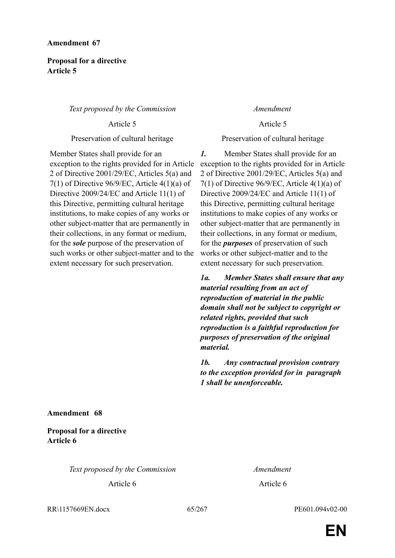## **Proposal for a directive Article 5**

*Text proposed by the Commission Amendment*

Member States shall provide for an exception to the rights provided for in Article 2 of Directive 2001/29/EC, Articles 5(a) and 7(1) of Directive  $96/9/EC$ , Article 4(1)(a) of Directive 2009/24/EC and Article 11(1) of this Directive, permitting cultural heritage institutions, to make copies of any works or other subject-matter that are permanently in their collections, in any format or medium, for the *sole* purpose of the preservation of such works or other subject-matter and to the extent necessary for such preservation.

## Article 5 Article 5

Preservation of cultural heritage Preservation of cultural heritage

*1.* Member States shall provide for an exception to the rights provided for in Article 2 of Directive 2001/29/EC, Articles 5(a) and  $7(1)$  of Directive 96/9/EC, Article 4(1)(a) of Directive 2009/24/EC and Article 11(1) of this Directive, permitting cultural heritage institutions to make copies of any works or other subject-matter that are permanently in their collections, in any format or medium, for the *purposes* of preservation of such works or other subject-matter and to the extent necessary for such preservation.

*1a. Member States shall ensure that any material resulting from an act of reproduction of material in the public domain shall not be subject to copyright or related rights, provided that such reproduction is a faithful reproduction for purposes of preservation of the original material.*

*1b. Any contractual provision contrary to the exception provided for in paragraph 1 shall be unenforceable.*

**Amendment 68** 

**Proposal for a directive Article 6** 

*Text proposed by the Commission Amendment*

Article 6 Article 6

RR\1157669EN.docx 65/267 PE601.094v02-00

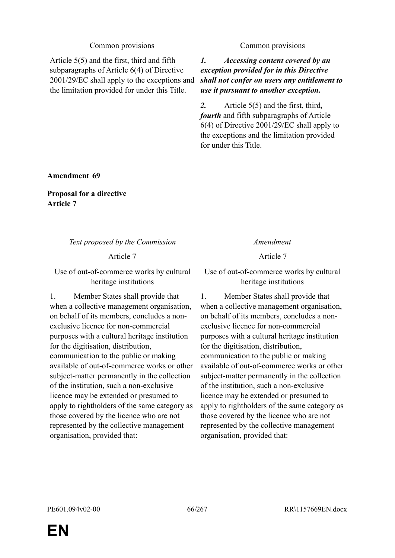## Common provisions Common provisions

Article 5(5) and the first, third and fifth subparagraphs of Article 6(4) of Directive 2001/29/EC shall apply to the exceptions and the limitation provided for under this Title.

# *1. Accessing content covered by an exception provided for in this Directive shall not confer on users any entitlement to use it pursuant to another exception.*

*2.* Article 5(5) and the first, third*, fourth* and fifth subparagraphs of Article 6(4) of Directive 2001/29/EC shall apply to the exceptions and the limitation provided for under this Title.

## **Amendment 69**

**Proposal for a directive Article 7** 

# *Text proposed by the Commission Amendment*

Use of out-of-commerce works by cultural heritage institutions

1. Member States shall provide that when a collective management organisation, on behalf of its members, concludes a nonexclusive licence for non-commercial purposes with a cultural heritage institution for the digitisation, distribution, communication to the public or making available of out-of-commerce works or other subject-matter permanently in the collection of the institution, such a non-exclusive licence may be extended or presumed to apply to rightholders of the same category as those covered by the licence who are not represented by the collective management organisation, provided that:

# Article 7 Article 7

# Use of out-of-commerce works by cultural heritage institutions

1. Member States shall provide that when a collective management organisation, on behalf of its members, concludes a nonexclusive licence for non-commercial purposes with a cultural heritage institution for the digitisation, distribution, communication to the public or making available of out-of-commerce works or other subject-matter permanently in the collection of the institution, such a non-exclusive licence may be extended or presumed to apply to rightholders of the same category as those covered by the licence who are not represented by the collective management organisation, provided that: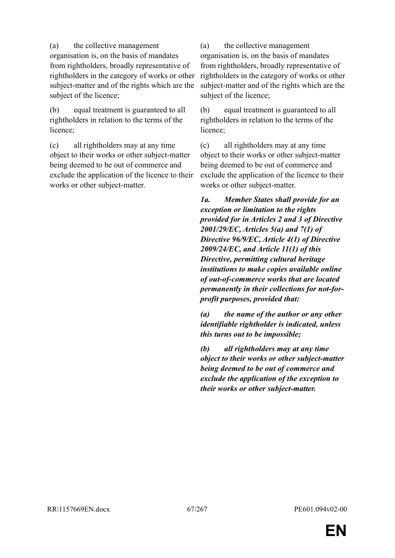(a) the collective management organisation is, on the basis of mandates from rightholders, broadly representative of rightholders in the category of works or other subject-matter and of the rights which are the subject of the licence;

(b) equal treatment is guaranteed to all rightholders in relation to the terms of the licence;

(c) all rightholders may at any time object to their works or other subject-matter being deemed to be out of commerce and exclude the application of the licence to their works or other subject-matter.

(a) the collective management organisation is, on the basis of mandates from rightholders, broadly representative of rightholders in the category of works or other subject-matter and of the rights which are the subject of the licence;

(b) equal treatment is guaranteed to all rightholders in relation to the terms of the licence;

(c) all rightholders may at any time object to their works or other subject-matter being deemed to be out of commerce and exclude the application of the licence to their works or other subject-matter.

*1a. Member States shall provide for an exception or limitation to the rights provided for in Articles 2 and 3 of Directive 2001/29/EC, Articles 5(a) and 7(1) of Directive 96/9/EC, Article 4(1) of Directive 2009/24/EC, and Article 11(1) of this Directive, permitting cultural heritage institutions to make copies available online of out-of-commerce works that are located permanently in their collections for not-forprofit purposes, provided that:*

*(a) the name of the author or any other identifiable rightholder is indicated, unless this turns out to be impossible;*

*(b) all rightholders may at any time object to their works or other subject-matter being deemed to be out of commerce and exclude the application of the exception to their works or other subject-matter.*

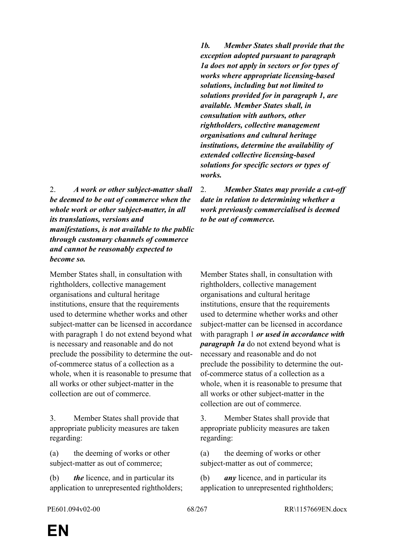2. *A work or other subject-matter shall be deemed to be out of commerce when the whole work or other subject-matter, in all its translations, versions and manifestations, is not available to the public through customary channels of commerce and cannot be reasonably expected to become so.*

Member States shall, in consultation with rightholders, collective management organisations and cultural heritage institutions, ensure that the requirements used to determine whether works and other subject-matter can be licensed in accordance with paragraph 1 do not extend beyond what is necessary and reasonable and do not preclude the possibility to determine the outof-commerce status of a collection as a whole, when it is reasonable to presume that all works or other subject-matter in the collection are out of commerce.

3. Member States shall provide that appropriate publicity measures are taken regarding:

(a) the deeming of works or other subject-matter as out of commerce;

(b) *the* licence, and in particular its application to unrepresented rightholders; *1b. Member States shall provide that the exception adopted pursuant to paragraph 1a does not apply in sectors or for types of works where appropriate licensing-based solutions, including but not limited to solutions provided for in paragraph 1, are available. Member States shall, in consultation with authors, other rightholders, collective management organisations and cultural heritage institutions, determine the availability of extended collective licensing-based solutions for specific sectors or types of works.*

2. *Member States may provide a cut-off date in relation to determining whether a work previously commercialised is deemed to be out of commerce.*

Member States shall, in consultation with rightholders, collective management organisations and cultural heritage institutions, ensure that the requirements used to determine whether works and other subject-matter can be licensed in accordance with paragraph 1 *or used in accordance with paragraph 1a* do not extend beyond what is necessary and reasonable and do not preclude the possibility to determine the outof-commerce status of a collection as a whole, when it is reasonable to presume that all works or other subject-matter in the collection are out of commerce.

3. Member States shall provide that appropriate publicity measures are taken regarding:

(a) the deeming of works or other subject-matter as out of commerce;

(b) *any* licence, and in particular its application to unrepresented rightholders;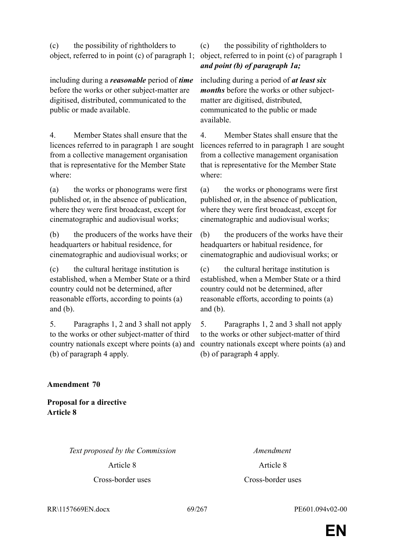(c) the possibility of rightholders to object, referred to in point (c) of paragraph 1;

including during a *reasonable* period of *time* before the works or other subject-matter are digitised, distributed, communicated to the public or made available.

4. Member States shall ensure that the licences referred to in paragraph 1 are sought from a collective management organisation that is representative for the Member State where:

(a) the works or phonograms were first published or, in the absence of publication, where they were first broadcast, except for cinematographic and audiovisual works;

(b) the producers of the works have their headquarters or habitual residence, for cinematographic and audiovisual works; or

(c) the cultural heritage institution is established, when a Member State or a third country could not be determined, after reasonable efforts, according to points (a) and (b).

5. Paragraphs 1, 2 and 3 shall not apply to the works or other subject-matter of third country nationals except where points (a) and (b) of paragraph 4 apply.

# (c) the possibility of rightholders to object, referred to in point (c) of paragraph 1 *and point (b) of paragraph 1a;*

including during a period of *at least six months* before the works or other subjectmatter are digitised, distributed, communicated to the public or made available.

4. Member States shall ensure that the licences referred to in paragraph 1 are sought from a collective management organisation that is representative for the Member State where:

(a) the works or phonograms were first published or, in the absence of publication, where they were first broadcast, except for cinematographic and audiovisual works;

(b) the producers of the works have their headquarters or habitual residence, for cinematographic and audiovisual works; or

(c) the cultural heritage institution is established, when a Member State or a third country could not be determined, after reasonable efforts, according to points (a) and (b).

5. Paragraphs 1, 2 and 3 shall not apply to the works or other subject-matter of third country nationals except where points (a) and (b) of paragraph 4 apply.

**Amendment 70** 

**Proposal for a directive Article 8** 

*Text proposed by the Commission Amendment*

Cross-border uses Cross-border uses

Article 8 Article 8

RR\1157669EN.docx 69/267 PE601.094v02-00

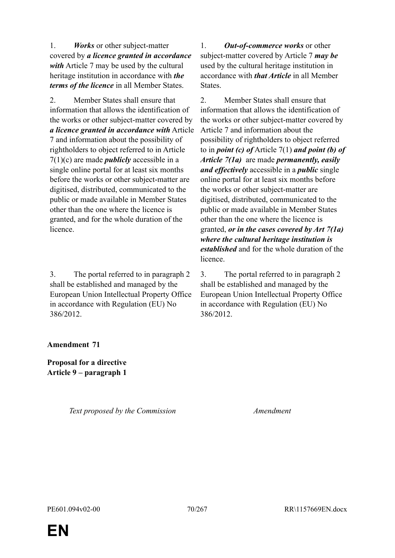1. *Works* or other subject-matter covered by *a licence granted in accordance with* Article 7 may be used by the cultural heritage institution in accordance with *the terms of the licence* in all Member States.

2. Member States shall ensure that information that allows the identification of the works or other subject-matter covered by *a licence granted in accordance with* Article 7 and information about the possibility of rightholders to object referred to in Article 7(1)(c) are made *publicly* accessible in a single online portal for at least six months before the works or other subject-matter are digitised, distributed, communicated to the public or made available in Member States other than the one where the licence is granted, and for the whole duration of the licence.

3. The portal referred to in paragraph 2 shall be established and managed by the European Union Intellectual Property Office in accordance with Regulation (EU) No 386/2012.

1. *Out-of-commerce works* or other subject-matter covered by Article 7 *may be* used by the cultural heritage institution in accordance with *that Article* in all Member **States** 

2. Member States shall ensure that information that allows the identification of the works or other subject-matter covered by Article 7 and information about the possibility of rightholders to object referred to in *point (c) of* Article 7(1) *and point (b) of Article 7(1a)* are made *permanently, easily and effectively* accessible in a *public* single online portal for at least six months before the works or other subject-matter are digitised, distributed, communicated to the public or made available in Member States other than the one where the licence is granted, *or in the cases covered by Art 7(1a) where the cultural heritage institution is established* and for the whole duration of the licence.

3. The portal referred to in paragraph 2 shall be established and managed by the European Union Intellectual Property Office in accordance with Regulation (EU) No 386/2012.

## **Amendment 71**

**Proposal for a directive Article 9 – paragraph 1** 

*Text proposed by the Commission Amendment*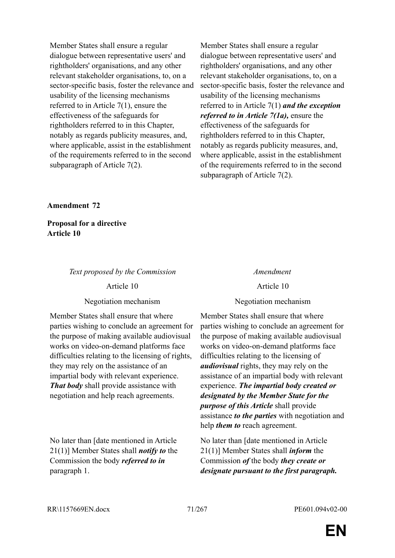Member States shall ensure a regular dialogue between representative users' and rightholders' organisations, and any other relevant stakeholder organisations, to, on a sector-specific basis, foster the relevance and usability of the licensing mechanisms referred to in Article 7(1), ensure the effectiveness of the safeguards for rightholders referred to in this Chapter, notably as regards publicity measures, and, where applicable, assist in the establishment of the requirements referred to in the second subparagraph of Article 7(2).

Member States shall ensure a regular dialogue between representative users' and rightholders' organisations, and any other relevant stakeholder organisations, to, on a sector-specific basis, foster the relevance and usability of the licensing mechanisms referred to in Article 7(1) *and the exception referred to in Article 7(1a),* ensure the effectiveness of the safeguards for rightholders referred to in this Chapter, notably as regards publicity measures, and, where applicable, assist in the establishment of the requirements referred to in the second subparagraph of Article 7(2).

**Amendment 72** 

**Proposal for a directive Article 10** 

### *Text proposed by the Commission Amendment*

### Negotiation mechanism Negotiation mechanism

Member States shall ensure that where parties wishing to conclude an agreement for the purpose of making available audiovisual works on video-on-demand platforms face difficulties relating to the licensing of rights, they may rely on the assistance of an impartial body with relevant experience. *That body* shall provide assistance with negotiation and help reach agreements.

No later than [date mentioned in Article 21(1)] Member States shall *notify to* the Commission the body *referred to in* paragraph 1.

Article 10 Article 10

Member States shall ensure that where parties wishing to conclude an agreement for the purpose of making available audiovisual works on video-on-demand platforms face difficulties relating to the licensing of *audiovisual* rights, they may rely on the assistance of an impartial body with relevant experience. *The impartial body created or designated by the Member State for the purpose of this Article* shall provide assistance *to the parties* with negotiation and help *them to* reach agreement.

No later than [date mentioned in Article 21(1)] Member States shall *inform* the Commission *of* the body *they create or designate pursuant to the first paragraph.*

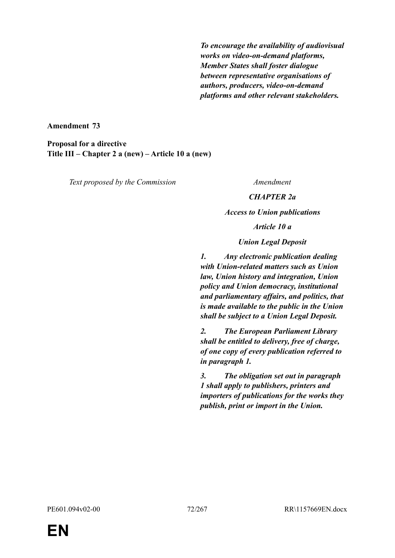*To encourage the availability of audiovisual works on video-on-demand platforms, Member States shall foster dialogue between representative organisations of authors, producers, video-on-demand platforms and other relevant stakeholders.*

### **Amendment 73**

**Proposal for a directive Title III – Chapter 2 a (new) – Article 10 a (new)** 

*Text proposed by the Commission Amendment*

### *CHAPTER 2a*

## *Access to Union publications*

### *Article 10 a*

## *Union Legal Deposit*

*1. Any electronic publication dealing with Union-related matters such as Union law, Union history and integration, Union policy and Union democracy, institutional and parliamentary affairs, and politics, that is made available to the public in the Union shall be subject to a Union Legal Deposit.* 

*2. The European Parliament Library shall be entitled to delivery, free of charge, of one copy of every publication referred to in paragraph 1.*

*3. The obligation set out in paragraph 1 shall apply to publishers, printers and importers of publications for the works they publish, print or import in the Union.*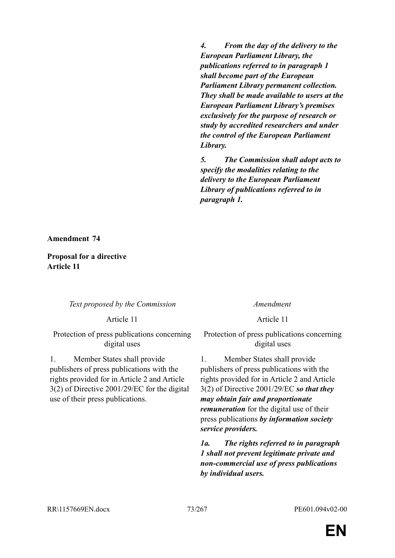*4. From the day of the delivery to the European Parliament Library, the publications referred to in paragraph 1 shall become part of the European Parliament Library permanent collection. They shall be made available to users at the European Parliament Library's premises exclusively for the purpose of research or study by accredited researchers and under the control of the European Parliament Library.* 

*5. The Commission shall adopt acts to specify the modalities relating to the delivery to the European Parliament Library of publications referred to in paragraph 1.* 

**Amendment 74** 

**Proposal for a directive Article 11** 

*Text proposed by the Commission Amendment*

Article 11 Article 11

Protection of press publications concerning digital uses

1. Member States shall provide publishers of press publications with the rights provided for in Article 2 and Article 3(2) of Directive 2001/29/EC for the digital use of their press publications.

Protection of press publications concerning digital uses

1. Member States shall provide publishers of press publications with the rights provided for in Article 2 and Article 3(2) of Directive 2001/29/EC *so that they may obtain fair and proportionate remuneration* for the digital use of their press publications *by information society service providers.*

*1a. The rights referred to in paragraph 1 shall not prevent legitimate private and non-commercial use of press publications by individual users.*

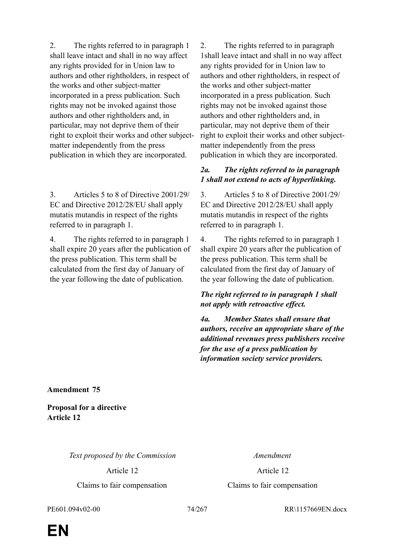2. The rights referred to in paragraph 1 shall leave intact and shall in no way affect any rights provided for in Union law to authors and other rightholders, in respect of the works and other subject-matter incorporated in a press publication. Such rights may not be invoked against those authors and other rightholders and, in particular, may not deprive them of their right to exploit their works and other subjectmatter independently from the press publication in which they are incorporated.

3. Articles 5 to 8 of Directive 2001/29/ EC and Directive 2012/28/EU shall apply mutatis mutandis in respect of the rights referred to in paragraph 1.

4. The rights referred to in paragraph 1 shall expire 20 years after the publication of the press publication. This term shall be calculated from the first day of January of the year following the date of publication.

2. The rights referred to in paragraph 1shall leave intact and shall in no way affect any rights provided for in Union law to authors and other rightholders, in respect of the works and other subject-matter incorporated in a press publication. Such rights may not be invoked against those authors and other rightholders and, in particular, may not deprive them of their right to exploit their works and other subjectmatter independently from the press publication in which they are incorporated.

# *2a. The rights referred to in paragraph 1 shall not extend to acts of hyperlinking.*

3. Articles 5 to 8 of Directive 2001/29/ EC and Directive 2012/28/EU shall apply mutatis mutandis in respect of the rights referred to in paragraph 1.

4. The rights referred to in paragraph 1 shall expire 20 years after the publication of the press publication. This term shall be calculated from the first day of January of the year following the date of publication.

# *The right referred to in paragraph 1 shall not apply with retroactive effect.*

*4a. Member States shall ensure that authors, receive an appropriate share of the additional revenues press publishers receive for the use of a press publication by information society service providers.*

**Amendment 75** 

**Proposal for a directive Article 12** 

*Text proposed by the Commission Amendment*

Article 12 **Article 12** 

## Claims to fair compensation Claims to fair compensation

PE601.094v02-00 74/267 RR\1157669EN.docx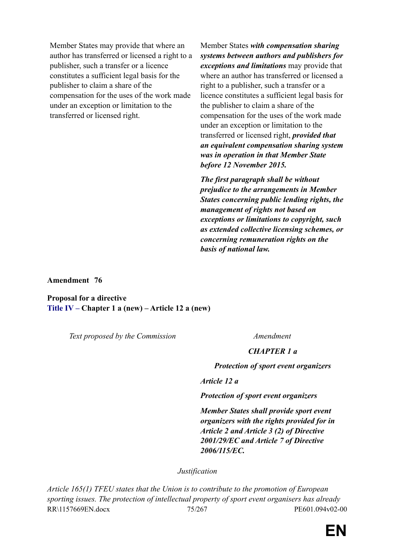Member States may provide that where an author has transferred or licensed a right to a publisher, such a transfer or a licence constitutes a sufficient legal basis for the publisher to claim a share of the compensation for the uses of the work made under an exception or limitation to the transferred or licensed right.

Member States *with compensation sharing systems between authors and publishers for exceptions and limitations* may provide that where an author has transferred or licensed a right to a publisher, such a transfer or a licence constitutes a sufficient legal basis for the publisher to claim a share of the compensation for the uses of the work made under an exception or limitation to the transferred or licensed right, *provided that an equivalent compensation sharing system was in operation in that Member State before 12 November 2015.*

*The first paragraph shall be without prejudice to the arrangements in Member States concerning public lending rights, the management of rights not based on exceptions or limitations to copyright, such as extended collective licensing schemes, or concerning remuneration rights on the basis of national law.*

**Amendment 76** 

**Proposal for a directive Title IV – Chapter 1 a (new) – Article 12 a (new)** 

*Text proposed by the Commission Amendment*

### *CHAPTER 1 a*

*Protection of sport event organizers*

*Article 12 a*

*Protection of sport event organizers*

*Member States shall provide sport event organizers with the rights provided for in Article 2 and Article 3 (2) of Directive 2001/29/EC and Article 7 of Directive 2006/115/EC.*

### *Justification*

*Article 165(1) TFEU states that the Union is to contribute to the promotion of European sporting issues. The protection of intellectual property of sport event organisers has already*  RR\1157669EN.docx 75/267 PE601.094v02-00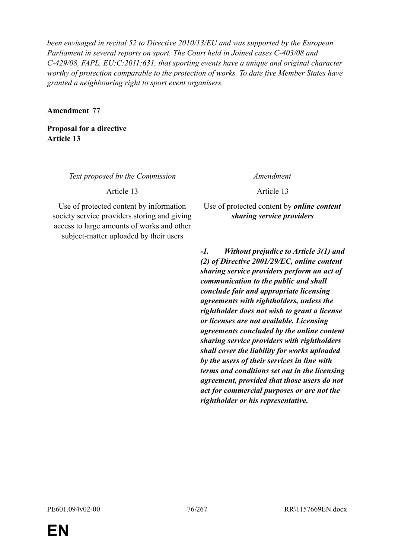*been envisaged in recital 52 to Directive 2010/13/EU and was supported by the European Parliament in several reports on sport. The Court held in Joined cases C-403/08 and C-429/08, FAPL, EU:C:2011:631, that sporting events have a unique and original character worthy of protection comparable to the protection of works. To date five Member States have granted a neighbouring right to sport event organisers.* 

### **Amendment 77**

**Proposal for a directive Article 13** 

*Text proposed by the Commission Amendment*

Use of protected content by information society service providers storing and giving access to large amounts of works and other subject-matter uploaded by their users

Article 13 Article 13

Use of protected content by *online content sharing service providers*

*-1. Without prejudice to Article 3(1) and (2) of Directive 2001/29/EC, online content sharing service providers perform an act of communication to the public and shall conclude fair and appropriate licensing agreements with rightholders, unless the rightholder does not wish to grant a license or licenses are not available. Licensing agreements concluded by the online content sharing service providers with rightholders shall cover the liability for works uploaded by the users of their services in line with terms and conditions set out in the licensing agreement, provided that those users do not act for commercial purposes or are not the rightholder or his representative.*

**EN**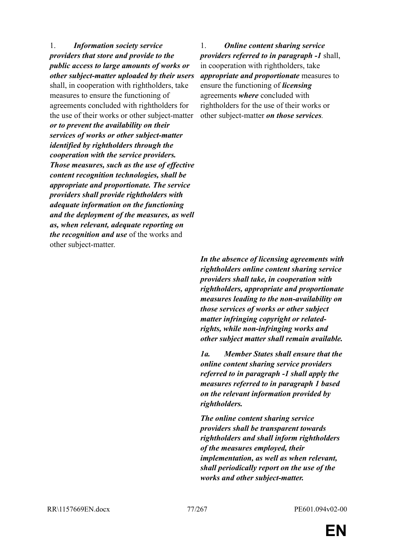1. *Information society service providers that store and provide to the public access to large amounts of works or other subject-matter uploaded by their users* shall, in cooperation with rightholders, take measures to ensure the functioning of agreements concluded with rightholders for the use of their works or other subject-matter *or to prevent the availability on their services of works or other subject-matter identified by rightholders through the cooperation with the service providers. Those measures, such as the use of effective content recognition technologies, shall be appropriate and proportionate. The service providers shall provide rightholders with adequate information on the functioning and the deployment of the measures, as well as, when relevant, adequate reporting on the recognition and use* of the works and other subject-matter.

1. *Online content sharing service providers referred to in paragraph -1* shall, in cooperation with rightholders, take *appropriate and proportionate* measures to ensure the functioning of *licensing* agreements *where* concluded with rightholders for the use of their works or other subject-matter *on those services.* 

*In the absence of licensing agreements with rightholders online content sharing service providers shall take, in cooperation with rightholders, appropriate and proportionate measures leading to the non-availability on those services of works or other subject matter infringing copyright or relatedrights, while non-infringing works and other subject matter shall remain available.*

*1a. Member States shall ensure that the online content sharing service providers referred to in paragraph -1 shall apply the measures referred to in paragraph 1 based on the relevant information provided by rightholders.*

*The online content sharing service providers shall be transparent towards rightholders and shall inform rightholders of the measures employed, their implementation, as well as when relevant, shall periodically report on the use of the works and other subject-matter.*

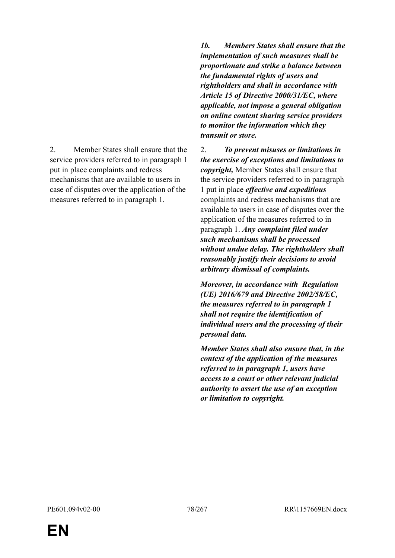2. Member States shall ensure that the service providers referred to in paragraph 1 put in place complaints and redress mechanisms that are available to users in case of disputes over the application of the measures referred to in paragraph 1.

*1b. Members States shall ensure that the implementation of such measures shall be proportionate and strike a balance between the fundamental rights of users and rightholders and shall in accordance with Article 15 of Directive 2000/31/EC, where applicable, not impose a general obligation on online content sharing service providers to monitor the information which they transmit or store.*

2. *To prevent misuses or limitations in the exercise of exceptions and limitations to copyright,* Member States shall ensure that the service providers referred to in paragraph 1 put in place *effective and expeditious* complaints and redress mechanisms that are available to users in case of disputes over the application of the measures referred to in paragraph 1. *Any complaint filed under such mechanisms shall be processed without undue delay. The rightholders shall reasonably justify their decisions to avoid arbitrary dismissal of complaints.*

*Moreover, in accordance with Regulation (UE) 2016/679 and Directive 2002/58/EC, the measures referred to in paragraph 1 shall not require the identification of individual users and the processing of their personal data.*

*Member States shall also ensure that, in the context of the application of the measures referred to in paragraph 1, users have access to a court or other relevant judicial authority to assert the use of an exception or limitation to copyright.*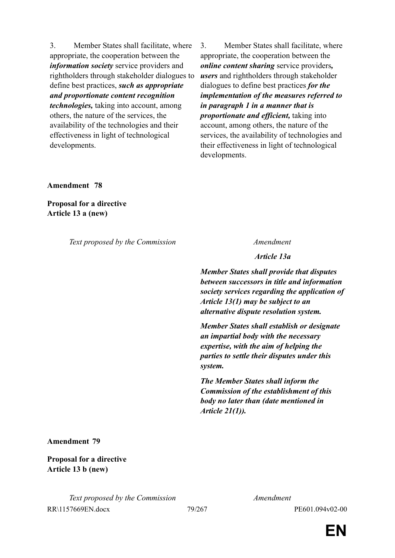3. Member States shall facilitate, where appropriate, the cooperation between the *information society* service providers and rightholders through stakeholder dialogues to define best practices, *such as appropriate and proportionate content recognition technologies,* taking into account, among others, the nature of the services, the availability of the technologies and their effectiveness in light of technological developments.

3. Member States shall facilitate, where appropriate, the cooperation between the *online content sharing* service providers*, users* and rightholders through stakeholder dialogues to define best practices *for the implementation of the measures referred to in paragraph 1 in a manner that is proportionate and efficient,* taking into account, among others, the nature of the services, the availability of technologies and their effectiveness in light of technological developments.

**Amendment 78** 

**Proposal for a directive Article 13 a (new)** 

*Text proposed by the Commission Amendment*

*Article 13a*

*Member States shall provide that disputes between successors in title and information society services regarding the application of Article 13(1) may be subject to an alternative dispute resolution system.*

*Member States shall establish or designate an impartial body with the necessary expertise, with the aim of helping the parties to settle their disputes under this system.*

*The Member States shall inform the Commission of the establishment of this body no later than (date mentioned in Article 21(1)).*

**Amendment 79** 

**Proposal for a directive Article 13 b (new)** 

*Text proposed by the Commission Amendment* RR\1157669EN.docx 79/267 PE601.094v02-00

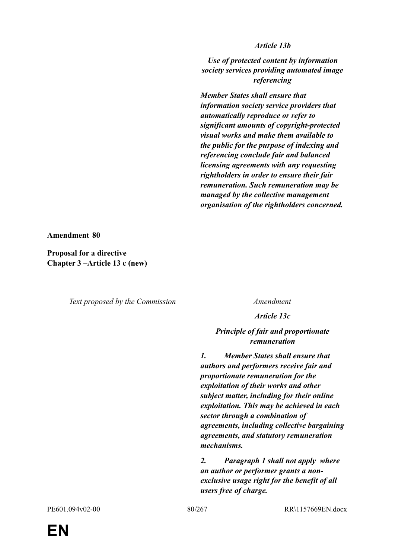*Article 13b*

*Use of protected content by information society services providing automated image referencing*

*Member States shall ensure that information society service providers that automatically reproduce or refer to significant amounts of copyright-protected visual works and make them available to the public for the purpose of indexing and referencing conclude fair and balanced licensing agreements with any requesting rightholders in order to ensure their fair remuneration. Such remuneration may be managed by the collective management organisation of the rightholders concerned.*

**Amendment 80** 

**Proposal for a directive Chapter 3 –Article 13 c (new)** 

*Text proposed by the Commission Amendment*

*Article 13c* 

*Principle of fair and proportionate remuneration*

*1. Member States shall ensure that authors and performers receive fair and proportionate remuneration for the exploitation of their works and other subject matter, including for their online exploitation. This may be achieved in each sector through a combination of agreements, including collective bargaining agreements, and statutory remuneration mechanisms.*

*2. Paragraph 1 shall not apply where an author or performer grants a nonexclusive usage right for the benefit of all users free of charge.*

**EN**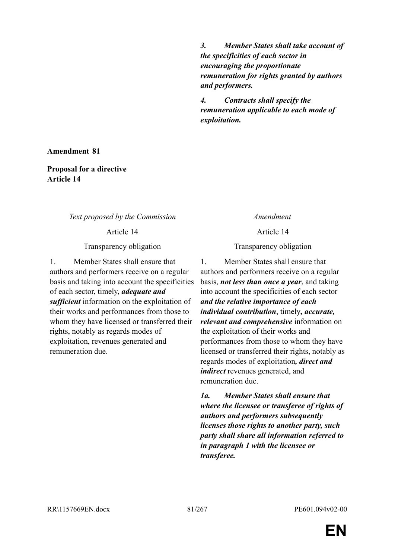*3. Member States shall take account of the specificities of each sector in encouraging the proportionate remuneration for rights granted by authors and performers.*

*4. Contracts shall specify the remuneration applicable to each mode of exploitation.*

### **Amendment 81**

### **Proposal for a directive Article 14**

*Text proposed by the Commission Amendment*

Transparency obligation Transparency obligation

1. Member States shall ensure that authors and performers receive on a regular basis and taking into account the specificities of each sector, timely, *adequate and sufficient* information on the exploitation of their works and performances from those to whom they have licensed or transferred their rights, notably as regards modes of exploitation, revenues generated and remuneration due.

Article 14 Article 14

1. Member States shall ensure that authors and performers receive on a regular basis, *not less than once a year*, and taking into account the specificities of each sector *and the relative importance of each individual contribution*, timely*, accurate, relevant and comprehensive* information on the exploitation of their works and performances from those to whom they have licensed or transferred their rights, notably as regards modes of exploitation*, direct and indirect* revenues generated, and remuneration due.

*1a. Member States shall ensure that where the licensee or transferee of rights of authors and performers subsequently licenses those rights to another party, such party shall share all information referred to in paragraph 1 with the licensee or transferee.*

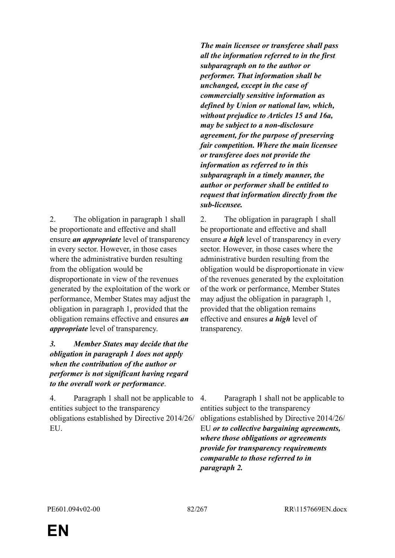2. The obligation in paragraph 1 shall be proportionate and effective and shall ensure *an appropriate* level of transparency in every sector. However, in those cases where the administrative burden resulting from the obligation would be disproportionate in view of the revenues generated by the exploitation of the work or performance, Member States may adjust the obligation in paragraph 1, provided that the obligation remains effective and ensures *an appropriate* level of transparency.

*3. Member States may decide that the obligation in paragraph 1 does not apply when the contribution of the author or performer is not significant having regard to the overall work or performance*.

4. Paragraph 1 shall not be applicable to 4. entities subject to the transparency obligations established by Directive 2014/26/ EU.

*The main licensee or transferee shall pass all the information referred to in the first subparagraph on to the author or performer. That information shall be unchanged, except in the case of commercially sensitive information as defined by Union or national law, which, without prejudice to Articles 15 and 16a, may be subject to a non-disclosure agreement, for the purpose of preserving fair competition. Where the main licensee or transferee does not provide the information as referred to in this subparagraph in a timely manner, the author or performer shall be entitled to request that information directly from the sub-licensee.*

2. The obligation in paragraph 1 shall be proportionate and effective and shall ensure *a high* level of transparency in every sector. However, in those cases where the administrative burden resulting from the obligation would be disproportionate in view of the revenues generated by the exploitation of the work or performance, Member States may adjust the obligation in paragraph 1, provided that the obligation remains effective and ensures *a high* level of transparency.

Paragraph 1 shall not be applicable to entities subject to the transparency obligations established by Directive 2014/26/ EU *or to collective bargaining agreements, where those obligations or agreements provide for transparency requirements comparable to those referred to in paragraph 2.*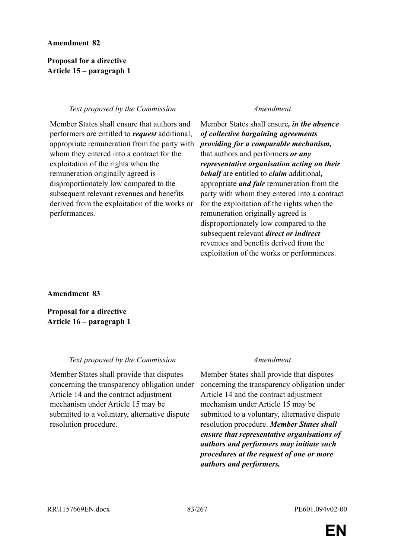### **Amendment 82**

# **Proposal for a directive Article 15 – paragraph 1**

### *Text proposed by the Commission Amendment*

Member States shall ensure that authors and performers are entitled to *request* additional, appropriate remuneration from the party with whom they entered into a contract for the exploitation of the rights when the remuneration originally agreed is disproportionately low compared to the subsequent relevant revenues and benefits derived from the exploitation of the works or performances.

Member States shall ensure*, in the absence of collective bargaining agreements providing for a comparable mechanism,*  that authors and performers *or any representative organisation acting on their behalf* are entitled to *claim* additional*,* appropriate *and fair* remuneration from the party with whom they entered into a contract for the exploitation of the rights when the remuneration originally agreed is disproportionately low compared to the subsequent relevant *direct or indirect* revenues and benefits derived from the exploitation of the works or performances.

### **Amendment 83**

**Proposal for a directive Article 16 – paragraph 1** 

## *Text proposed by the Commission Amendment*

Member States shall provide that disputes concerning the transparency obligation under Article 14 and the contract adjustment mechanism under Article 15 may be submitted to a voluntary, alternative dispute resolution procedure.

Member States shall provide that disputes concerning the transparency obligation under Article 14 and the contract adjustment mechanism under Article 15 may be submitted to a voluntary, alternative dispute resolution procedure. *Member States shall ensure that representative organisations of authors and performers may initiate such procedures at the request of one or more authors and performers.*

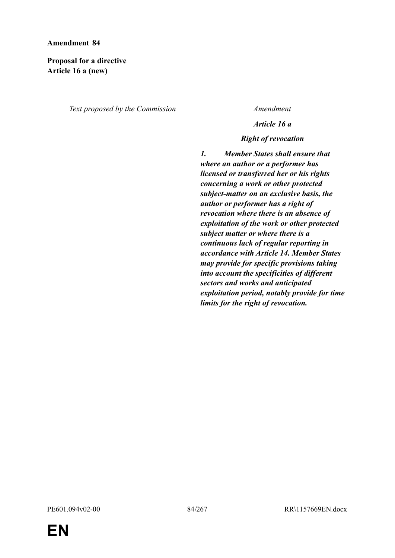**Proposal for a directive Article 16 a (new)** 

*Text proposed by the Commission Amendment*

*Article 16 a* 

*Right of revocation*

*1. Member States shall ensure that where an author or a performer has licensed or transferred her or his rights concerning a work or other protected subject-matter on an exclusive basis, the author or performer has a right of revocation where there is an absence of exploitation of the work or other protected subject matter or where there is a continuous lack of regular reporting in accordance with Article 14. Member States may provide for specific provisions taking into account the specificities of different sectors and works and anticipated exploitation period, notably provide for time limits for the right of revocation.*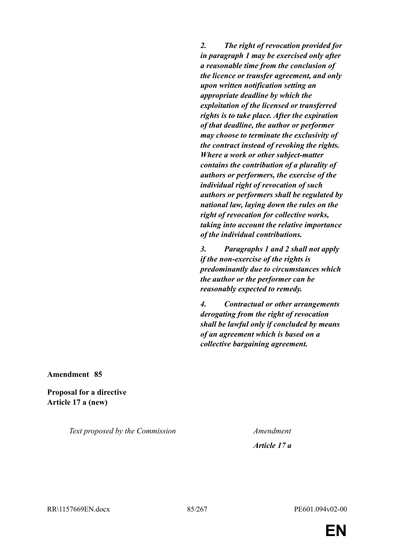*2. The right of revocation provided for in paragraph 1 may be exercised only after a reasonable time from the conclusion of the licence or transfer agreement, and only upon written notification setting an appropriate deadline by which the exploitation of the licensed or transferred rights is to take place. After the expiration of that deadline, the author or performer may choose to terminate the exclusivity of the contract instead of revoking the rights. Where a work or other subject-matter contains the contribution of a plurality of authors or performers, the exercise of the individual right of revocation of such authors or performers shall be regulated by national law, laying down the rules on the right of revocation for collective works, taking into account the relative importance of the individual contributions.*

*3. Paragraphs 1 and 2 shall not apply if the non-exercise of the rights is predominantly due to circumstances which the author or the performer can be reasonably expected to remedy.*

*4. Contractual or other arrangements derogating from the right of revocation shall be lawful only if concluded by means of an agreement which is based on a collective bargaining agreement.*

**Amendment 85** 

**Proposal for a directive Article 17 a (new)** 

*Text proposed by the Commission Amendment*

*Article 17 a*